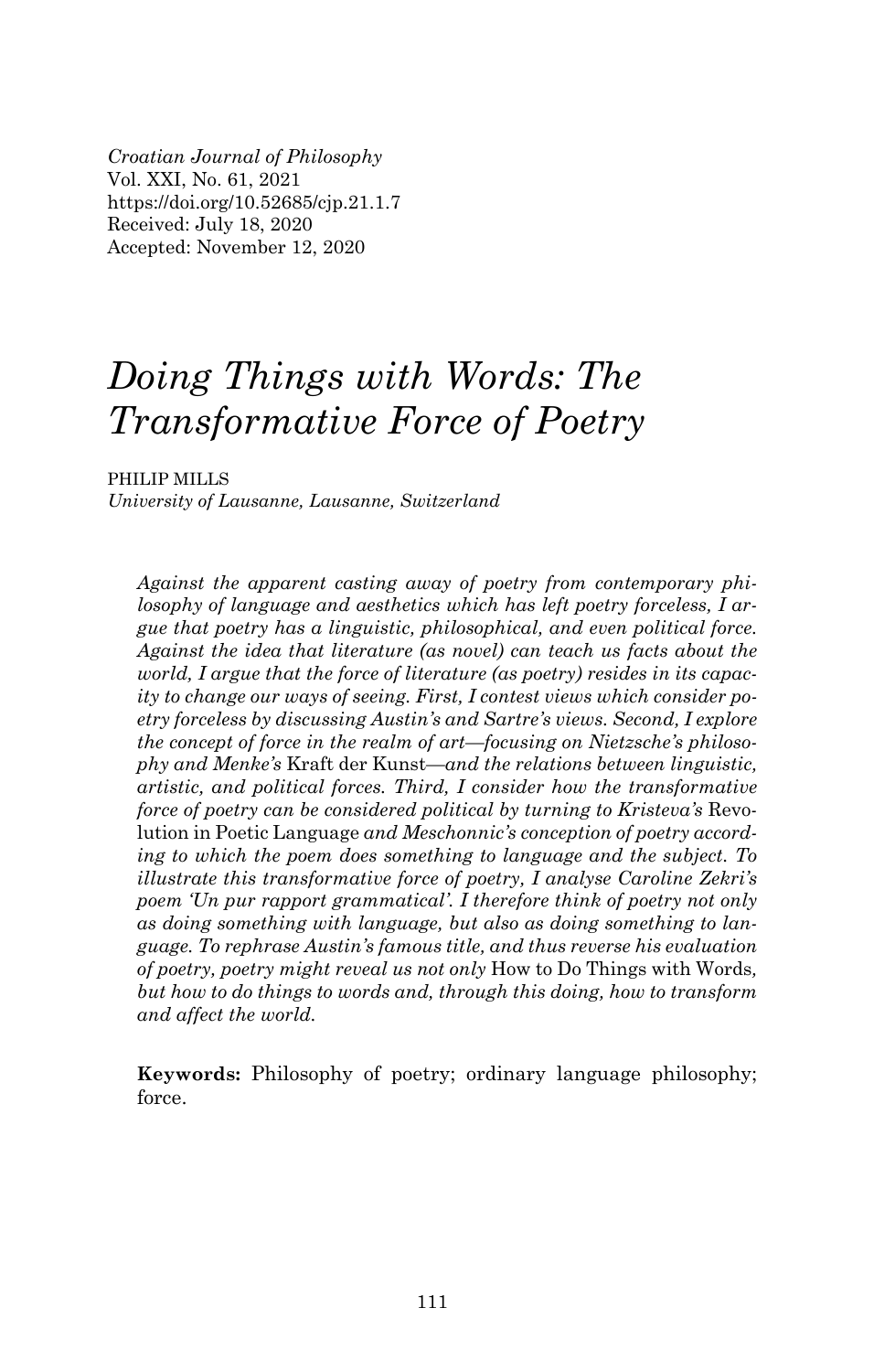*Croatian Journal of Philosophy* Vol. XXI, No. 61, 2021 https://doi.org/10.52685/cjp.21.1.7 Received: July 18, 2020 Accepted: November 12, 2020

# *Doing Things with Words: The Transformative Force of Poetry*

PHILIP MILLS

*University of Lausanne, Lausanne, Switzerland*

*Against the apparent casting away of poetry from contemporary philosophy of language and aesthetics which has left poetry forceless, I argue that poetry has a linguistic, philosophical, and even political force. Against the idea that literature (as novel) can teach us facts about the world, I argue that the force of literature (as poetry) resides in its capacity to change our ways of seeing. First, I contest views which consider poetry forceless by discussing Austin's and Sartre's views. Second, I explore the concept of force in the realm of art—focusing on Nietzsche's philosophy and Menke's* Kraft der Kunst*—and the relations between linguistic, artistic, and political forces. Third, I consider how the transformative force of poetry can be considered political by turning to Kristeva's Revo*lution in Poetic Language *and Meschonnic's conception of poetry according to which the poem does something to language and the subject. To illustrate this transformative force of poetry, I analyse Caroline Zekri's poem 'Un pur rapport grammatical'. I therefore think of poetry not only as doing something with language, but also as doing something to language. To rephrase Austin's famous t itle, and thus reverse his evaluation of poetry, poetry might reveal us not only* How to Do Things with Words*, but how to do things to words and, through this doing, how to transform and affect the world.*

**Keywords:** Philosophy of poetry; ordinary language philosophy; force.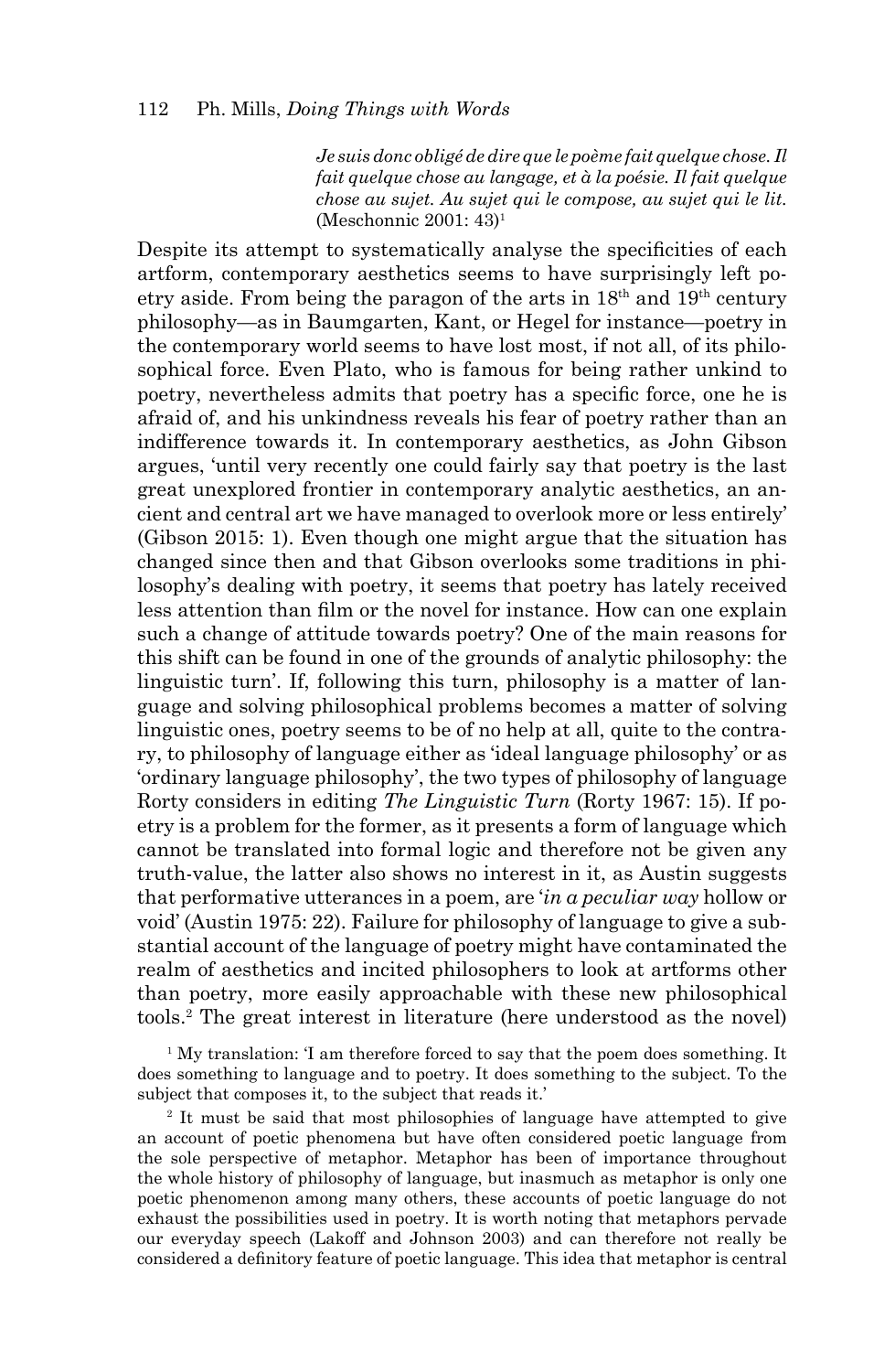*Je suis donc obligé de dire que le poème fait quelque chose. Il fait quelque chose au langage, et à la poésie. Il fait quelque chose au sujet. Au sujet qui le compose, au sujet qui le lit.* (Meschonnic 2001: 43)1

Despite its attempt to systematically analyse the specificities of each artform, contemporary aesthetics seems to have surprisingly left poetry aside. From being the paragon of the arts in  $18<sup>th</sup>$  and  $19<sup>th</sup>$  century philosophy—as in Baumgarten, Kant, or Hegel for instance—poetry in the contemporary world seems to have lost most, if not all, of its philosophical force. Even Plato, who is famous for being rather unkind to poetry, nevertheless admits that poetry has a specific force, one he is afraid of, and his unkindness reveals his fear of poetry rather than an indifference towards it. In contemporary aesthetics, as John Gibson argues, 'until very recently one could fairly say that poetry is the last great unexplored frontier in contemporary analytic aesthetics, an ancient and central art we have managed to overlook more or less entirely' (Gibson 2015: 1). Even though one might argue that the situation has changed since then and that Gibson overlooks some traditions in philosophy's dealing with poetry, it seems that poetry has lately received less attention than film or the novel for instance. How can one explain such a change of attitude towards poetry? One of the main reasons for this shift can be found in one of the grounds of analytic philosophy: the linguistic turn'. If, following this turn, philosophy is a matter of language and solving philosophical problems becomes a matter of solving linguistic ones, poetry seems to be of no help at all, quite to the contrary, to philosophy of language either as 'ideal language philosophy' or as 'ordinary language philosophy', the two types of philosophy of language Rorty considers in editing *The Linguistic Turn* (Rorty 1967: 15). If poetry is a problem for the former, as it presents a form of language which cannot be translated into formal logic and therefore not be given any truth-value, the latter also shows no interest in it, as Austin suggests that performative utterances in a poem, are '*in a peculiar way* hollow or void' (Austin 1975: 22). Failure for philosophy of language to give a substantial account of the language of poetry might have contaminated the realm of aesthetics and incited philosophers to look at artforms other than poetry, more easily approachable with these new philosophical tools.2 The great interest in literature (here understood as the novel)

<sup>1</sup> My translation: 'I am therefore forced to say that the poem does something. It does something to language and to poetry. It does something to the subject. To the subject that composes it, to the subject that reads it.'

2 It must be said that most philosophies of language have attempted to give an account of poetic phenomena but have often considered poetic language from the sole perspective of metaphor. Metaphor has been of importance throughout the whole history of philosophy of language, but inasmuch as metaphor is only one poetic phenomenon among many others, these accounts of poetic language do not exhaust the possibilities used in poetry. It is worth noting that metaphors pervade our everyday speech (Lakoff and Johnson 2003) and can therefore not really be considered a definitory feature of poetic language. This idea that metaphor is central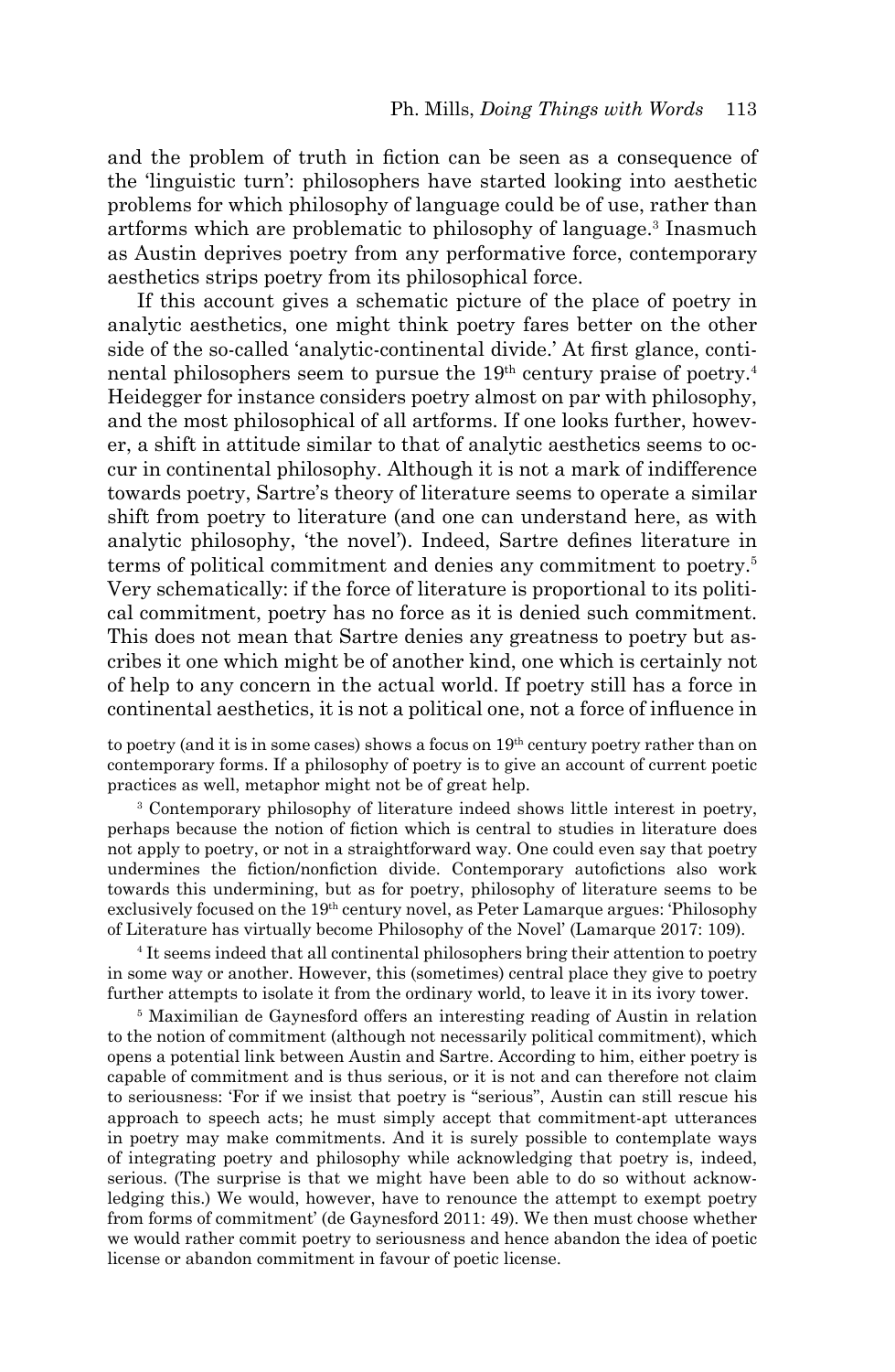and the problem of truth in fiction can be seen as a consequence of the 'linguistic turn': philosophers have started looking into aesthetic problems for which philosophy of language could be of use, rather than artforms which are problematic to philosophy of language.<sup>3</sup> Inasmuch as Austin deprives poetry from any performative force, contemporary aesthetics strips poetry from its philosophical force.

If this account gives a schematic picture of the place of poetry in analytic aesthetics, one might think poetry fares better on the other side of the so-called 'analytic-continental divide.' At first glance, continental philosophers seem to pursue the  $19<sup>th</sup>$  century praise of poetry.<sup>4</sup> Heidegger for instance considers poetry almost on par with philosophy, and the most philosophical of all artforms. If one looks further, however, a shift in attitude similar to that of analytic aesthetics seems to occur in continental philosophy. Although it is not a mark of indifference towards poetry, Sartre's theory of literature seems to operate a similar shift from poetry to literature (and one can understand here, as with analytic philosophy, 'the novel'). Indeed, Sartre defines literature in terms of political commitment and denies any commitment to poetry.5 Very schematically: if the force of literature is proportional to its political commitment, poetry has no force as it is denied such commitment. This does not mean that Sartre denies any greatness to poetry but ascribes it one which might be of another kind, one which is certainly not of help to any concern in the actual world. If poetry still has a force in continental aesthetics, it is not a political one, not a force of influence in

to poetry (and it is in some cases) shows a focus on  $19<sup>th</sup>$  century poetry rather than on contemporary forms. If a philosophy of poetry is to give an account of current poetic practices as well, metaphor might not be of great help.

3 Contemporary philosophy of literature indeed shows little interest in poetry, perhaps because the notion of fiction which is central to studies in literature does not apply to poetry, or not in a straightforward way. One could even say that poetry undermines the fiction/nonfiction divide. Contemporary autofictions also work towards this undermining, but as for poetry, philosophy of literature seems to be exclusively focused on the 19th century novel, as Peter Lamarque argues: 'Philosophy of Literature has virtually become Philosophy of the Novel' (Lamarque 2017: 109).

4 It seems indeed that all continental philosophers bring their attention to poetry in some way or another. However, this (sometimes) central place they give to poetry further attempts to isolate it from the ordinary world, to leave it in its ivory tower.

<sup>5</sup> Maximilian de Gaynesford offers an interesting reading of Austin in relation to the notion of commitment (although not necessarily political commitment), which opens a potential link between Austin and Sartre. According to him, either poetry is capable of commitment and is thus serious, or it is not and can therefore not claim to seriousness: 'For if we insist that poetry is "serious", Austin can still rescue his approach to speech acts; he must simply accept that commitment-apt utterances in poetry may make commitments. And it is surely possible to contemplate ways of integrating poetry and philosophy while acknowledging that poetry is, indeed, serious. (The surprise is that we might have been able to do so without acknowledging this.) We would, however, have to renounce the attempt to exempt poetry from forms of commitment' (de Gaynesford 2011: 49). We then must choose whether we would rather commit poetry to seriousness and hence abandon the idea of poetic license or abandon commitment in favour of poetic license.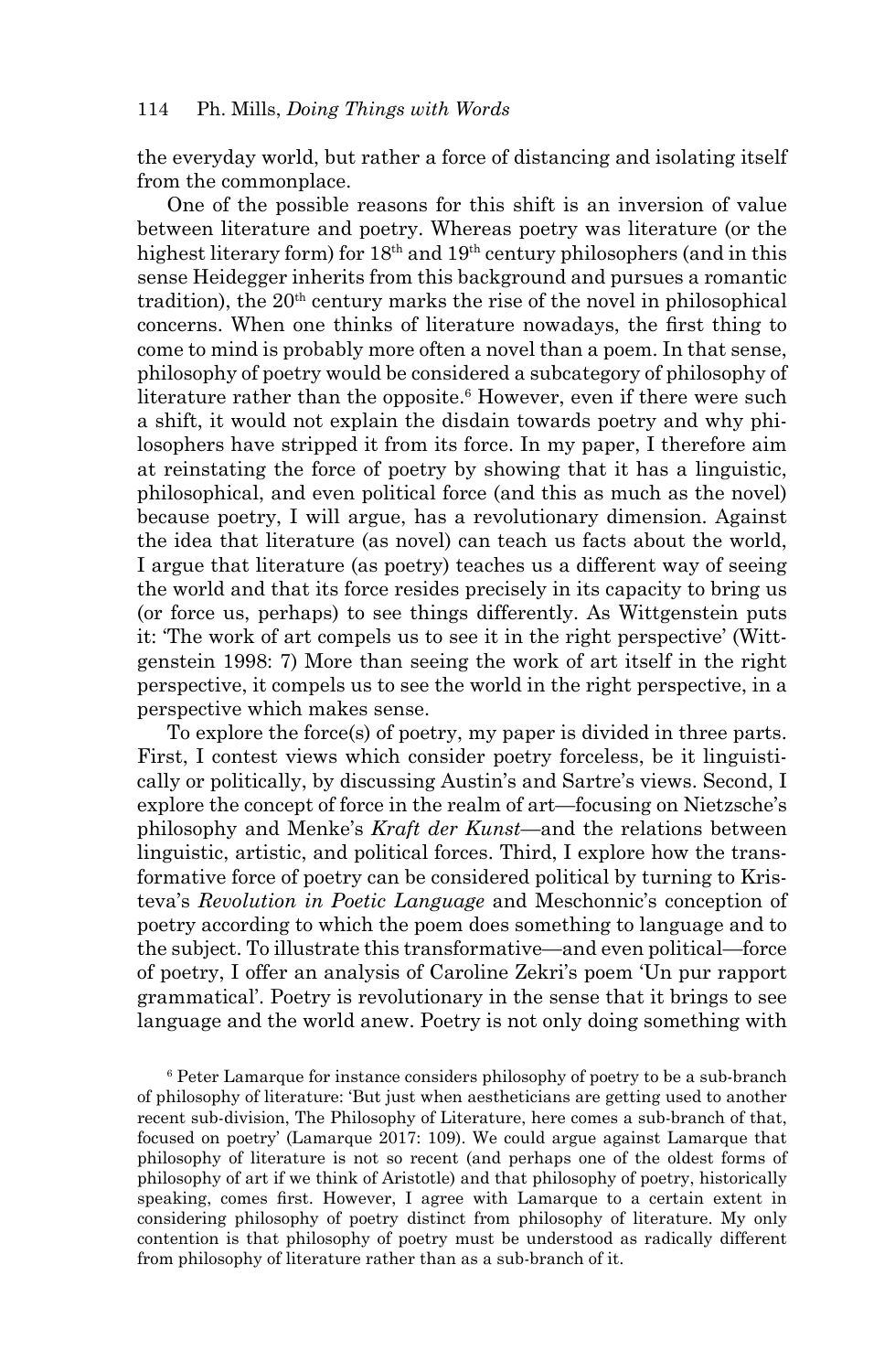the everyday world, but rather a force of distancing and isolating itself from the commonplace.

One of the possible reasons for this shift is an inversion of value between literature and poetry. Whereas poetry was literature (or the highest literary form) for 18<sup>th</sup> and 19<sup>th</sup> century philosophers (and in this sense Heidegger inherits from this background and pursues a romantic tradition), the  $20<sup>th</sup>$  century marks the rise of the novel in philosophical concerns. When one thinks of literature nowadays, the first thing to come to mind is probably more often a novel than a poem. In that sense, philosophy of poetry would be considered a subcategory of philosophy of literature rather than the opposite.<sup>6</sup> However, even if there were such a shift, it would not explain the disdain towards poetry and why philosophers have stripped it from its force. In my paper, I therefore aim at reinstating the force of poetry by showing that it has a linguistic, philosophical, and even political force (and this as much as the novel) because poetry, I will argue, has a revolutionary dimension. Against the idea that literature (as novel) can teach us facts about the world, I argue that literature (as poetry) teaches us a different way of seeing the world and that its force resides precisely in its capacity to bring us (or force us, perhaps) to see things differently. As Wittgenstein puts it: 'The work of art compels us to see it in the right perspective' (Wittgenstein 1998: 7) More than seeing the work of art itself in the right perspective, it compels us to see the world in the right perspective, in a perspective which makes sense.

To explore the force(s) of poetry, my paper is divided in three parts. First, I contest views which consider poetry forceless, be it linguistically or politically, by discussing Austin's and Sartre's views. Second, I explore the concept of force in the realm of art—focusing on Nietzsche's philosophy and Menke's *Kraft der Kunst*—and the relations between linguistic, artistic, and political forces. Third, I explore how the transformative force of poetry can be considered political by turning to Kristeva's *Revolution in Poetic Language* and Meschonnic's conception of poetry according to which the poem does something to language and to the subject. To illustrate this transformative—and even political—force of poetry, I offer an analysis of Caroline Zekri's poem 'Un pur rapport grammatical'. Poetry is revolutionary in the sense that it brings to see language and the world anew. Poetry is not only doing something with

<sup>6</sup> Peter Lamarque for instance considers philosophy of poetry to be a sub-branch of philosophy of literature: 'But just when aestheticians are getting used to another recent sub-division, The Philosophy of Literature, here comes a sub-branch of that, focused on poetry' (Lamarque 2017: 109). We could argue against Lamarque that philosophy of literature is not so recent (and perhaps one of the oldest forms of philosophy of art if we think of Aristotle) and that philosophy of poetry, historically speaking, comes first. However, I agree with Lamarque to a certain extent in considering philosophy of poetry distinct from philosophy of literature. My only contention is that philosophy of poetry must be understood as radically different from philosophy of literature rather than as a sub-branch of it.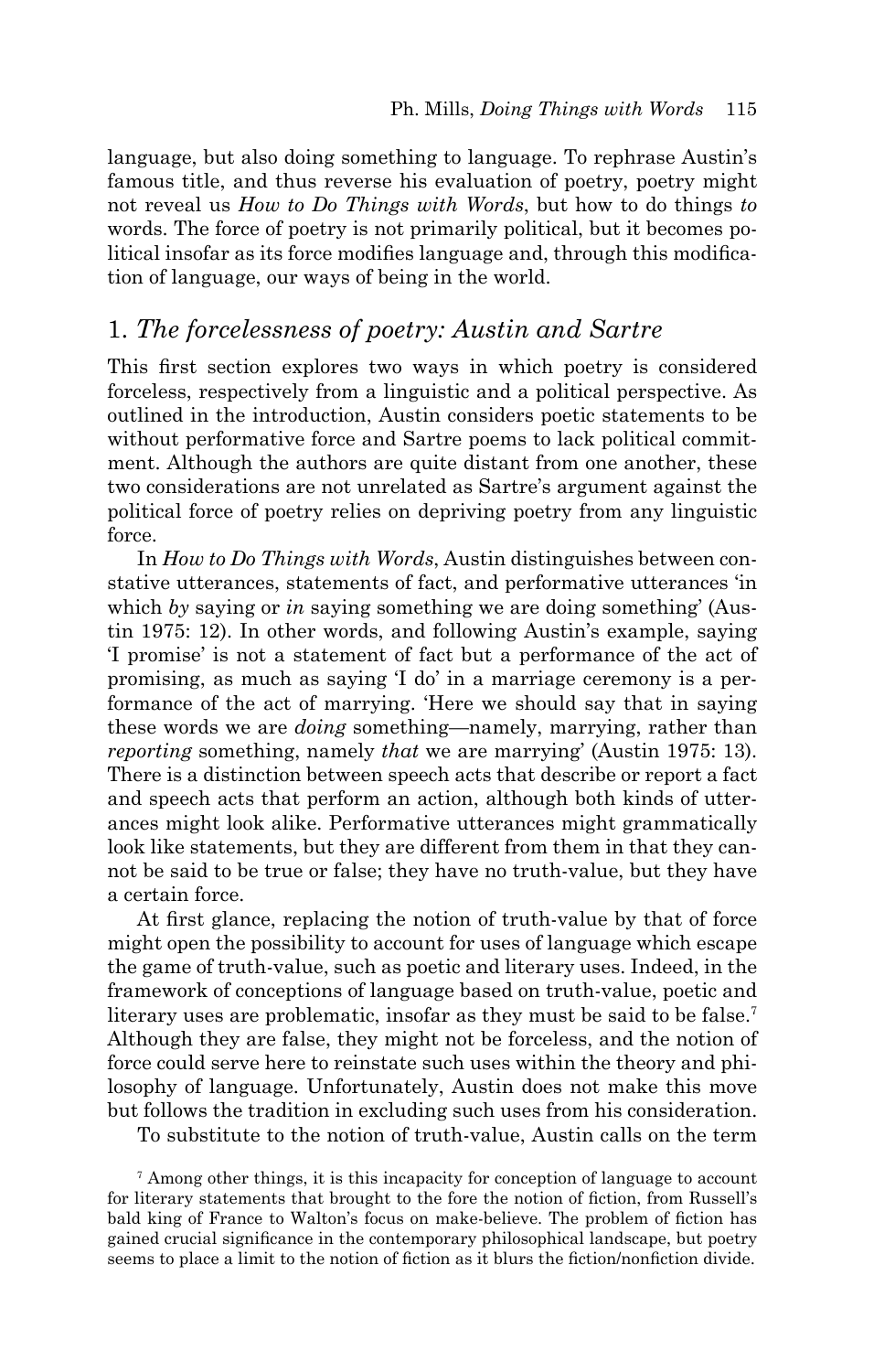language, but also doing something to language. To rephrase Austin's famous title, and thus reverse his evaluation of poetry, poetry might not reveal us *How to Do Things with Words*, but how to do things *to* words. The force of poetry is not primarily political, but it becomes political insofar as its force modifies language and, through this modification of language, our ways of being in the world.

### 1. *The forcelessness of poetry: Austin and Sartre*

This first section explores two ways in which poetry is considered forceless, respectively from a linguistic and a political perspective. As outlined in the introduction, Austin considers poetic statements to be without performative force and Sartre poems to lack political commitment. Although the authors are quite distant from one another, these two considerations are not unrelated as Sartre's argument against the political force of poetry relies on depriving poetry from any linguistic force.

In *How to Do Things with Words*, Austin distinguishes between constative utterances, statements of fact, and performative utterances 'in which *by* saying or *in* saying something we are doing something' (Austin 1975: 12). In other words, and following Austin's example, saying 'I promise' is not a statement of fact but a performance of the act of promising, as much as saying 'I do' in a marriage ceremony is a performance of the act of marrying. 'Here we should say that in saying these words we are *doing* something—namely, marrying, rather than *reporting* something, namely *that* we are marrying' (Austin 1975: 13). There is a distinction between speech acts that describe or report a fact and speech acts that perform an action, although both kinds of utterances might look alike. Performative utterances might grammatically look like statements, but they are different from them in that they cannot be said to be true or false; they have no truth-value, but they have a certain force.

At first glance, replacing the notion of truth-value by that of force might open the possibility to account for uses of language which escape the game of truth-value, such as poetic and literary uses. Indeed, in the framework of conceptions of language based on truth-value, poetic and literary uses are problematic, insofar as they must be said to be false.<sup>7</sup> Although they are false, they might not be forceless, and the notion of force could serve here to reinstate such uses within the theory and philosophy of language. Unfortunately, Austin does not make this move but follows the tradition in excluding such uses from his consideration.

To substitute to the notion of truth-value, Austin calls on the term

7 Among other things, it is this incapacity for conception of language to account for literary statements that brought to the fore the notion of fiction, from Russell's bald king of France to Walton's focus on make-believe. The problem of fiction has gained crucial significance in the contemporary philosophical landscape, but poetry seems to place a limit to the notion of fiction as it blurs the fiction/nonfiction divide.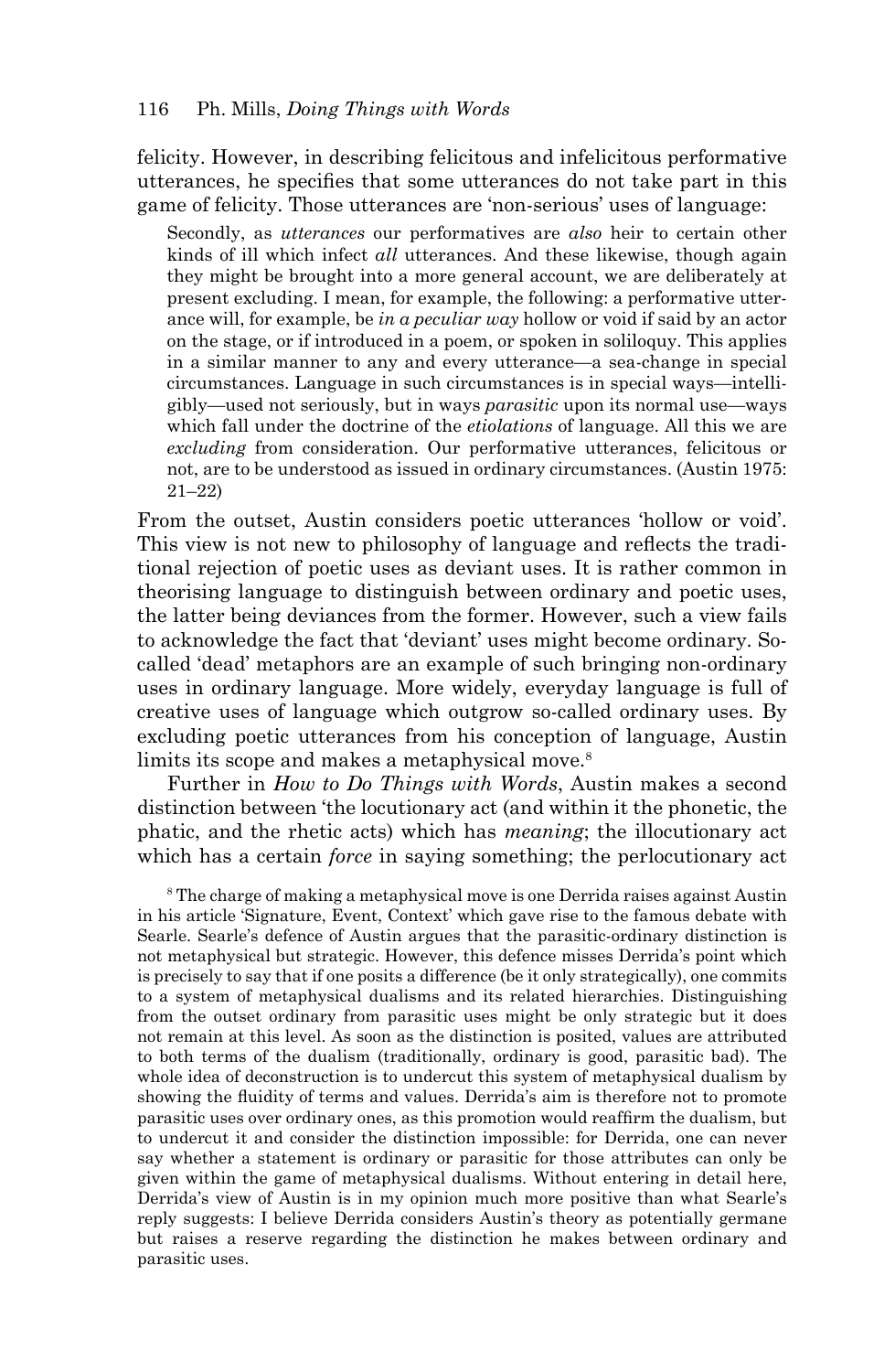felicity. However, in describing felicitous and infelicitous performative utterances, he specifies that some utterances do not take part in this game of felicity. Those utterances are 'non-serious' uses of language:

Secondly, as *utterances* our performatives are *also* heir to certain other kinds of ill which infect *all* utterances. And these likewise, though again they might be brought into a more general account, we are deliberately at present excluding. I mean, for example, the following: a performative utterance will, for example, be *in a peculiar way* hollow or void if said by an actor on the stage, or if introduced in a poem, or spoken in soliloquy. This applies in a similar manner to any and every utterance—a sea-change in special circumstances. Language in such circumstances is in special ways—intelligibly—used not seriously, but in ways *parasitic* upon its normal use—ways which fall under the doctrine of the *etiolations* of language. All this we are *excluding* from consideration. Our performative utterances, felicitous or not, are to be understood as issued in ordinary circumstances. (Austin 1975: 21–22)

From the outset, Austin considers poetic utterances 'hollow or void'. This view is not new to philosophy of language and reflects the traditional rejection of poetic uses as deviant uses. It is rather common in theorising language to distinguish between ordinary and poetic uses, the latter being deviances from the former. However, such a view fails to acknowledge the fact that 'deviant' uses might become ordinary. Socalled 'dead' metaphors are an example of such bringing non-ordinary uses in ordinary language. More widely, everyday language is full of creative uses of language which outgrow so-called ordinary uses. By excluding poetic utterances from his conception of language, Austin limits its scope and makes a metaphysical move.<sup>8</sup>

Further in *How to Do Things with Words*, Austin makes a second distinction between 'the locutionary act (and within it the phonetic, the phatic, and the rhetic acts) which has *meaning*; the illocutionary act which has a certain *force* in saying something; the perlocutionary act

8 The charge of making a metaphysical move is one Derrida raises against Austin in his article 'Signature, Event, Context' which gave rise to the famous debate with Searle. Searle's defence of Austin argues that the parasitic-ordinary distinction is not metaphysical but strategic. However, this defence misses Derrida's point which is precisely to say that if one posits a difference (be it only strategically), one commits to a system of metaphysical dualisms and its related hierarchies. Distinguishing from the outset ordinary from parasitic uses might be only strategic but it does not remain at this level. As soon as the distinction is posited, values are attributed to both terms of the dualism (traditionally, ordinary is good, parasitic bad). The whole idea of deconstruction is to undercut this system of metaphysical dualism by showing the fluidity of terms and values. Derrida's aim is therefore not to promote parasitic uses over ordinary ones, as this promotion would reaffirm the dualism, but to undercut it and consider the distinction impossible: for Derrida, one can never say whether a statement is ordinary or parasitic for those attributes can only be given within the game of metaphysical dualisms. Without entering in detail here, Derrida's view of Austin is in my opinion much more positive than what Searle's reply suggests: I believe Derrida considers Austin's theory as potentially germane but raises a reserve regarding the distinction he makes between ordinary and parasitic uses.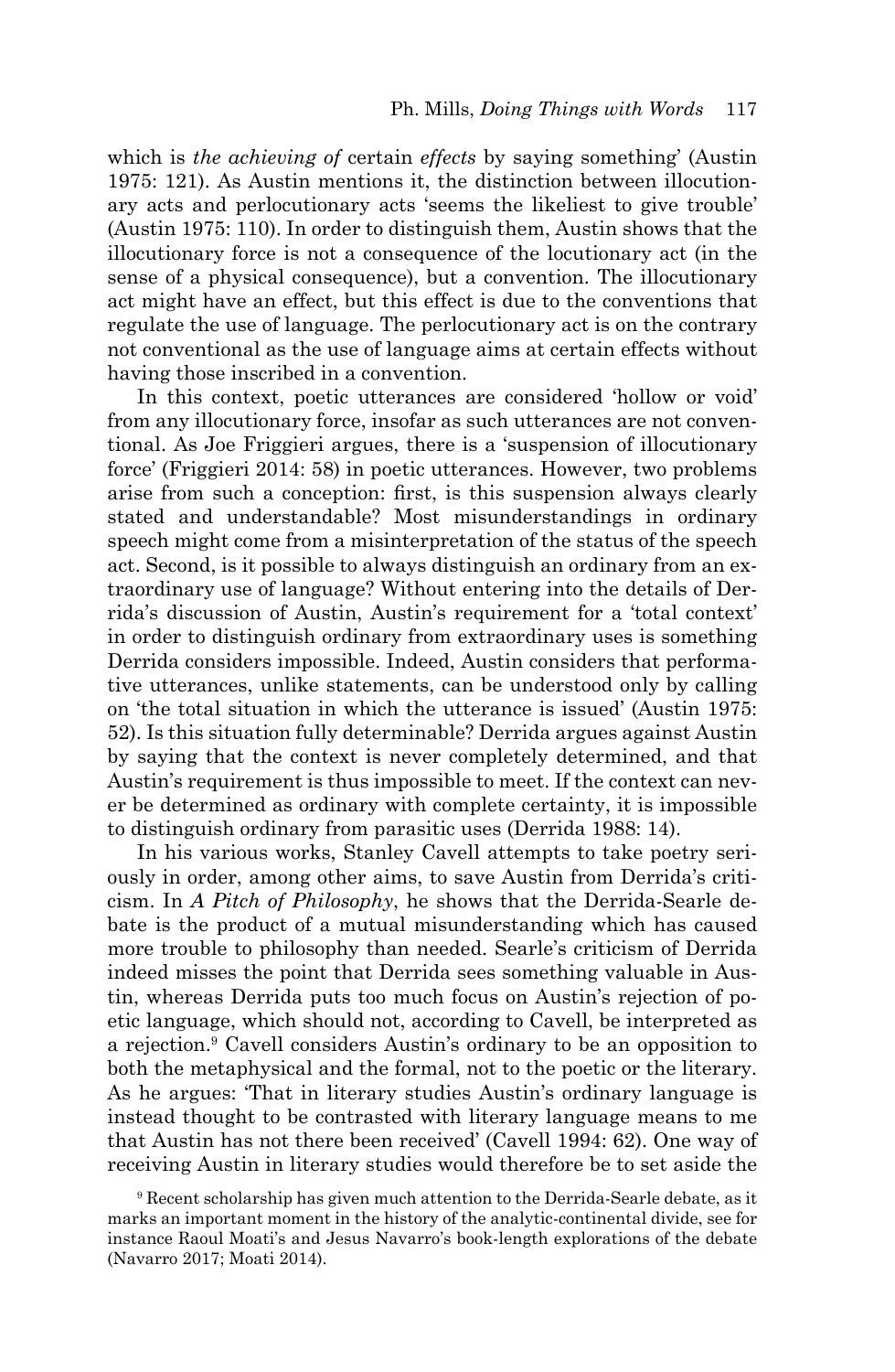which is *the achieving of* certain *effects* by saying something' (Austin 1975: 121). As Austin mentions it, the distinction between illocutionary acts and perlocutionary acts 'seems the likeliest to give trouble' (Austin 1975: 110). In order to distinguish them, Austin shows that the illocutionary force is not a consequence of the locutionary act (in the sense of a physical consequence), but a convention. The illocutionary act might have an effect, but this effect is due to the conventions that regulate the use of language. The perlocutionary act is on the contrary not conventional as the use of language aims at certain effects without having those inscribed in a convention.

In this context, poetic utterances are considered 'hollow or void' from any illocutionary force, insofar as such utterances are not conventional. As Joe Friggieri argues, there is a 'suspension of illocutionary force' (Friggieri 2014: 58) in poetic utterances. However, two problems arise from such a conception: first, is this suspension always clearly stated and understandable? Most misunderstandings in ordinary speech might come from a misinterpretation of the status of the speech act. Second, is it possible to always distinguish an ordinary from an extraordinary use of language? Without entering into the details of Derrida's discussion of Austin, Austin's requirement for a 'total context' in order to distinguish ordinary from extraordinary uses is something Derrida considers impossible. Indeed, Austin considers that performative utterances, unlike statements, can be understood only by calling on 'the total situation in which the utterance is issued' (Austin 1975: 52). Is this situation fully determinable? Derrida argues against Austin by saying that the context is never completely determined, and that Austin's requirement is thus impossible to meet. If the context can never be determined as ordinary with complete certainty, it is impossible to distinguish ordinary from parasitic uses (Derrida 1988: 14).

In his various works, Stanley Cavell attempts to take poetry seriously in order, among other aims, to save Austin from Derrida's criticism. In *A Pitch of Philosophy*, he shows that the Derrida-Searle debate is the product of a mutual misunderstanding which has caused more trouble to philosophy than needed. Searle's criticism of Derrida indeed misses the point that Derrida sees something valuable in Austin, whereas Derrida puts too much focus on Austin's rejection of poetic language, which should not, according to Cavell, be interpreted as a rejection.9 Cavell considers Austin's ordinary to be an opposition to both the metaphysical and the formal, not to the poetic or the literary. As he argues: 'That in literary studies Austin's ordinary language is instead thought to be contrasted with literary language means to me that Austin has not there been received' (Cavell 1994: 62). One way of receiving Austin in literary studies would therefore be to set aside the

<sup>9</sup> Recent scholarship has given much attention to the Derrida-Searle debate, as it marks an important moment in the history of the analytic-continental divide, see for instance Raoul Moati's and Jesus Navarro's book-length explorations of the debate (Navarro 2017; Moati 2014).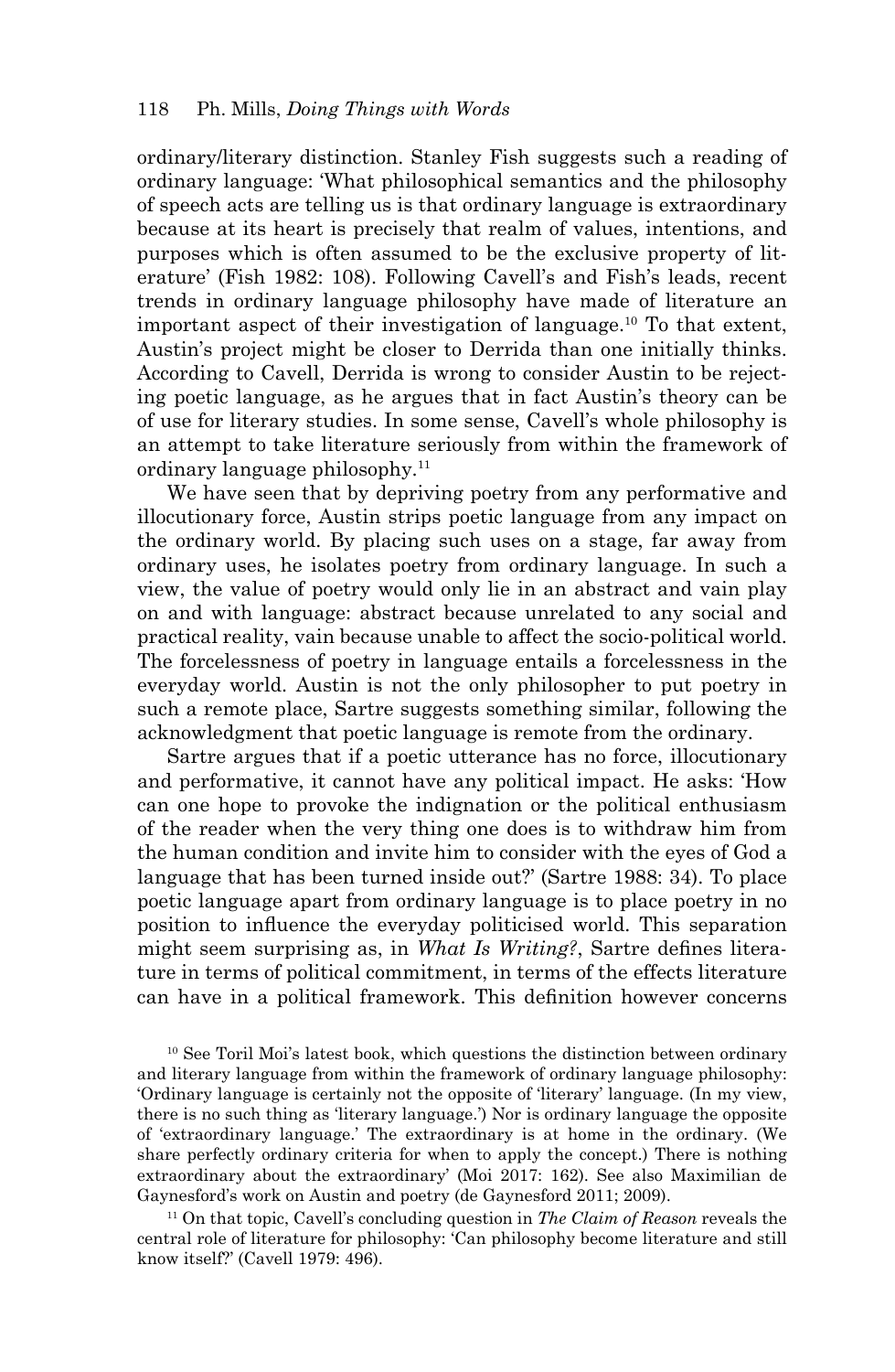ordinary/literary distinction. Stanley Fish suggests such a reading of ordinary language: 'What philosophical semantics and the philosophy of speech acts are telling us is that ordinary language is extraordinary because at its heart is precisely that realm of values, intentions, and purposes which is often assumed to be the exclusive property of literature' (Fish 1982: 108). Following Cavell's and Fish's leads, recent trends in ordinary language philosophy have made of literature an important aspect of their investigation of language.10 To that extent, Austin's project might be closer to Derrida than one initially thinks. According to Cavell, Derrida is wrong to consider Austin to be rejecting poetic language, as he argues that in fact Austin's theory can be of use for literary studies. In some sense, Cavell's whole philosophy is an attempt to take literature seriously from within the framework of ordinary language philosophy.11

We have seen that by depriving poetry from any performative and illocutionary force, Austin strips poetic language from any impact on the ordinary world. By placing such uses on a stage, far away from ordinary uses, he isolates poetry from ordinary language. In such a view, the value of poetry would only lie in an abstract and vain play on and with language: abstract because unrelated to any social and practical reality, vain because unable to affect the socio-political world. The forcelessness of poetry in language entails a forcelessness in the everyday world. Austin is not the only philosopher to put poetry in such a remote place, Sartre suggests something similar, following the acknowledgment that poetic language is remote from the ordinary.

Sartre argues that if a poetic utterance has no force, illocutionary and performative, it cannot have any political impact. He asks: 'How can one hope to provoke the indignation or the political enthusiasm of the reader when the very thing one does is to withdraw him from the human condition and invite him to consider with the eyes of God a language that has been turned inside out?' (Sartre 1988: 34). To place poetic language apart from ordinary language is to place poetry in no position to influence the everyday politicised world. This separation might seem surprising as, in *What Is Writing?*, Sartre defines literature in terms of political commitment, in terms of the effects literature can have in a political framework. This definition however concerns

<sup>10</sup> See Toril Moi's latest book, which questions the distinction between ordinary and literary language from within the framework of ordinary language philosophy: 'Ordinary language is certainly not the opposite of 'literary' language. (In my view, there is no such thing as 'literary language.') Nor is ordinary language the opposite of 'extraordinary language.' The extraordinary is at home in the ordinary. (We share perfectly ordinary criteria for when to apply the concept.) There is nothing extraordinary about the extraordinary' (Moi 2017: 162). See also Maximilian de Gaynesford's work on Austin and poetry (de Gaynesford 2011; 2009).

11 On that topic, Cavell's concluding question in *The Claim of Reason* reveals the central role of literature for philosophy: 'Can philosophy become literature and still know itself?' (Cavell 1979: 496).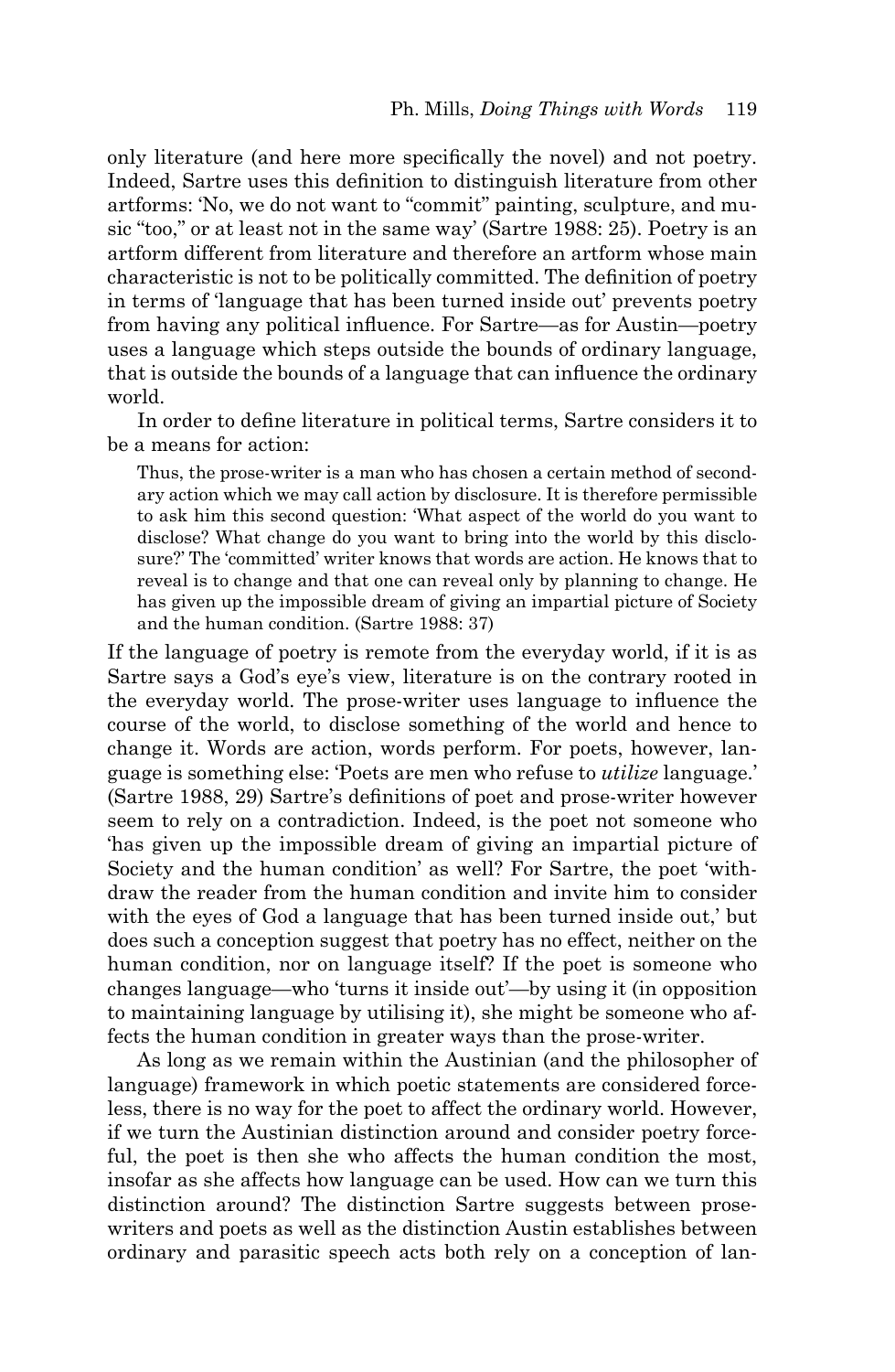only literature (and here more specifically the novel) and not poetry. Indeed, Sartre uses this definition to distinguish literature from other artforms: 'No, we do not want to "commit" painting, sculpture, and music "too," or at least not in the same way' (Sartre 1988: 25). Poetry is an artform different from literature and therefore an artform whose main characteristic is not to be politically committed. The definition of poetry in terms of 'language that has been turned inside out' prevents poetry from having any political influence. For Sartre—as for Austin—poetry uses a language which steps outside the bounds of ordinary language, that is outside the bounds of a language that can influence the ordinary world.

In order to define literature in political terms, Sartre considers it to be a means for action:

Thus, the prose-writer is a man who has chosen a certain method of secondary action which we may call action by disclosure. It is therefore permissible to ask him this second question: 'What aspect of the world do you want to disclose? What change do you want to bring into the world by this disclosure?' The 'committed' writer knows that words are action. He knows that to reveal is to change and that one can reveal only by planning to change. He has given up the impossible dream of giving an impartial picture of Society and the human condition. (Sartre 1988: 37)

If the language of poetry is remote from the everyday world, if it is as Sartre says a God's eye's view, literature is on the contrary rooted in the everyday world. The prose-writer uses language to influence the course of the world, to disclose something of the world and hence to change it. Words are action, words perform. For poets, however, language is something else: 'Poets are men who refuse to *utilize* language.' (Sartre 1988, 29) Sartre's definitions of poet and prose-writer however seem to rely on a contradiction. Indeed, is the poet not someone who 'has given up the impossible dream of giving an impartial picture of Society and the human condition' as well? For Sartre, the poet 'withdraw the reader from the human condition and invite him to consider with the eyes of God a language that has been turned inside out,' but does such a conception suggest that poetry has no effect, neither on the human condition, nor on language itself? If the poet is someone who changes language—who 'turns it inside out'—by using it (in opposition to maintaining language by utilising it), she might be someone who affects the human condition in greater ways than the prose-writer.

As long as we remain within the Austinian (and the philosopher of language) framework in which poetic statements are considered forceless, there is no way for the poet to affect the ordinary world. However, if we turn the Austinian distinction around and consider poetry forceful, the poet is then she who affects the human condition the most, insofar as she affects how language can be used. How can we turn this distinction around? The distinction Sartre suggests between prosewriters and poets as well as the distinction Austin establishes between ordinary and parasitic speech acts both rely on a conception of lan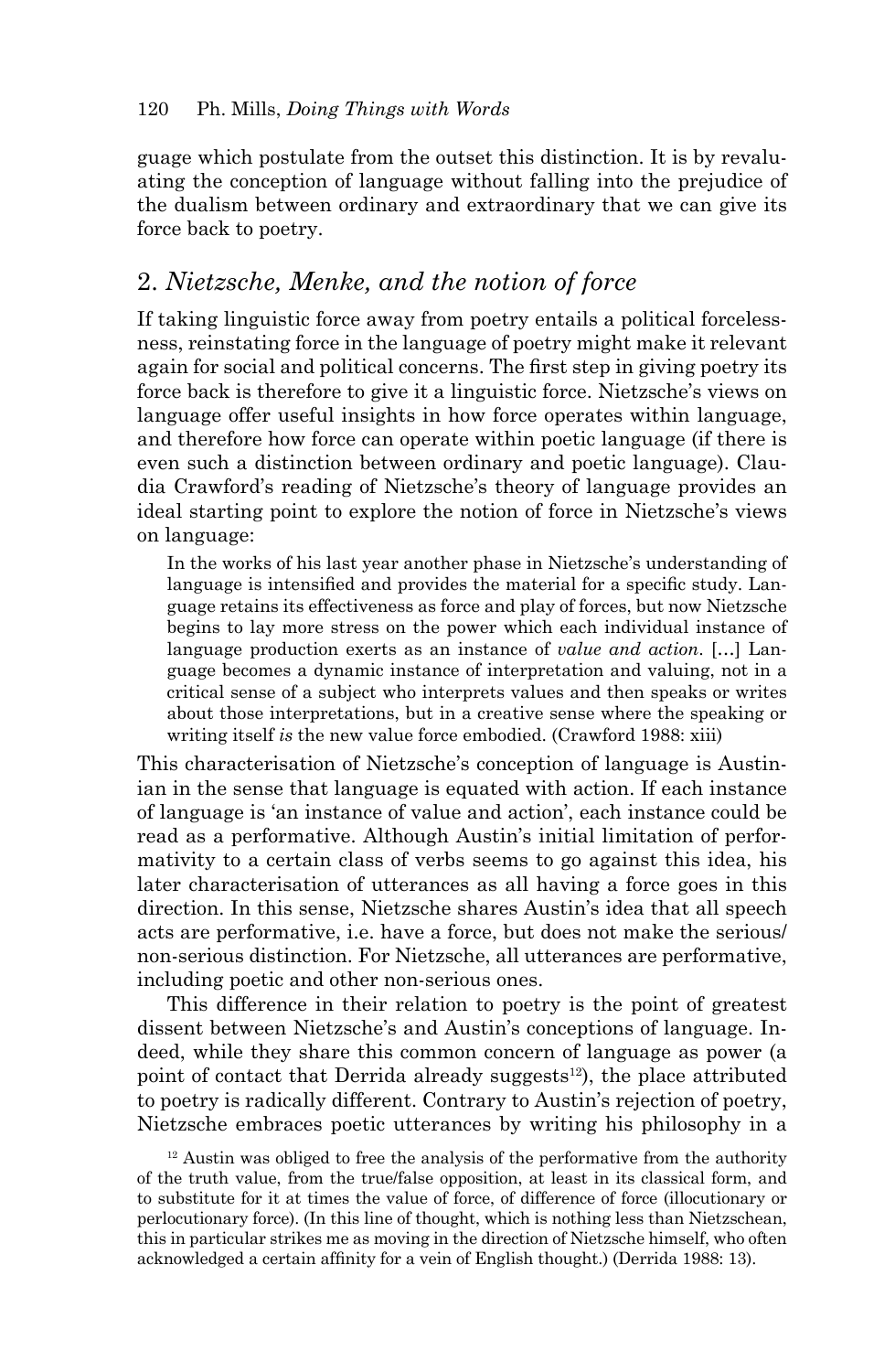guage which postulate from the outset this distinction. It is by revaluating the conception of language without falling into the prejudice of the dualism between ordinary and extraordinary that we can give its force back to poetry.

# 2. *Nietzsche, Menke, and the notion of force*

If taking linguistic force away from poetry entails a political forcelessness, reinstating force in the language of poetry might make it relevant again for social and political concerns. The first step in giving poetry its force back is therefore to give it a linguistic force. Nietzsche's views on language offer useful insights in how force operates within language, and therefore how force can operate within poetic language (if there is even such a distinction between ordinary and poetic language). Claudia Crawford's reading of Nietzsche's theory of language provides an ideal starting point to explore the notion of force in Nietzsche's views on language:

In the works of his last year another phase in Nietzsche's understanding of language is intensified and provides the material for a specific study. Language retains its effectiveness as force and play of forces, but now Nietzsche begins to lay more stress on the power which each individual instance of language production exerts as an instance of *value and action*. […] Language becomes a dynamic instance of interpretation and valuing, not in a critical sense of a subject who interprets values and then speaks or writes about those interpretations, but in a creative sense where the speaking or writing itself *is* the new value force embodied. (Crawford 1988: xiii)

This characterisation of Nietzsche's conception of language is Austinian in the sense that language is equated with action. If each instance of language is 'an instance of value and action', each instance could be read as a performative. Although Austin's initial limitation of performativity to a certain class of verbs seems to go against this idea, his later characterisation of utterances as all having a force goes in this direction. In this sense, Nietzsche shares Austin's idea that all speech acts are performative, i.e. have a force, but does not make the serious/ non-serious distinction. For Nietzsche, all utterances are performative, including poetic and other non-serious ones.

This difference in their relation to poetry is the point of greatest dissent between Nietzsche's and Austin's conceptions of language. Indeed, while they share this common concern of language as power (a point of contact that Derrida already suggests<sup>12</sup>), the place attributed to poetry is radically different. Contrary to Austin's rejection of poetry, Nietzsche embraces poetic utterances by writing his philosophy in a

 $12$  Austin was obliged to free the analysis of the performative from the authority of the truth value, from the true/false opposition, at least in its classical form, and to substitute for it at times the value of force, of difference of force (illocutionary or perlocutionary force). (In this line of thought, which is nothing less than Nietzschean, this in particular strikes me as moving in the direction of Nietzsche himself, who often acknowledged a certain affinity for a vein of English thought.) (Derrida 1988: 13).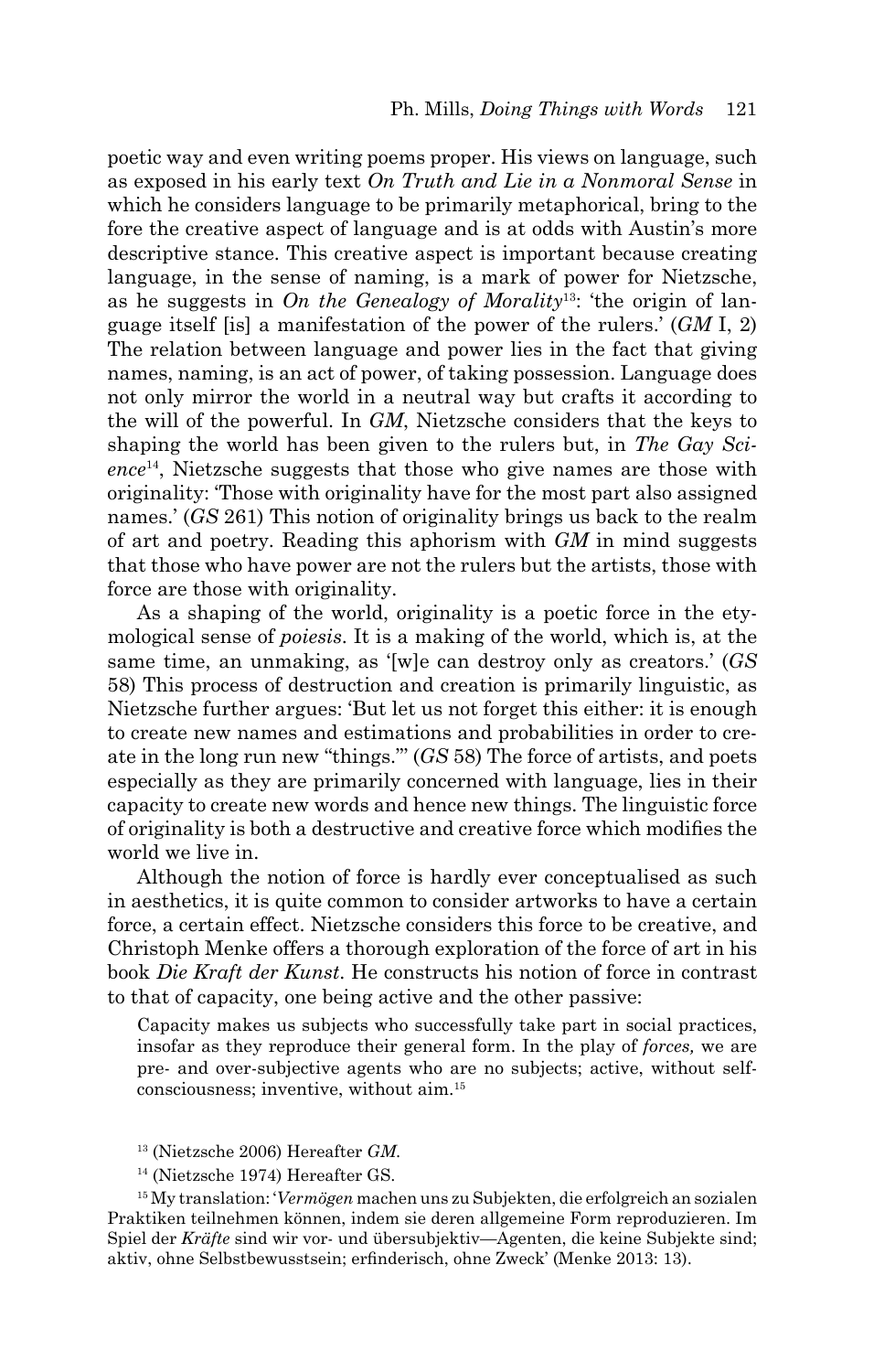poetic way and even writing poems proper. His views on language, such as exposed in his early text *On Truth and Lie in a Nonmoral Sense* in which he considers language to be primarily metaphorical, bring to the fore the creative aspect of language and is at odds with Austin's more descriptive stance. This creative aspect is important because creating language, in the sense of naming, is a mark of power for Nietzsche, as he suggests in *On the Genealogy of Morality*13: 'the origin of language itself [is] a manifestation of the power of the rulers.' (*GM* I, 2) The relation between language and power lies in the fact that giving names, naming, is an act of power, of taking possession. Language does not only mirror the world in a neutral way but crafts it according to the will of the powerful. In *GM*, Nietzsche considers that the keys to shaping the world has been given to the rulers but, in *The Gay Science*14, Nietzsche suggests that those who give names are those with originality: 'Those with originality have for the most part also assigned names.' (*GS* 261) This notion of originality brings us back to the realm of art and poetry. Reading this aphorism with *GM* in mind suggests that those who have power are not the rulers but the artists, those with force are those with originality.

As a shaping of the world, originality is a poetic force in the etymological sense of *poiesis*. It is a making of the world, which is, at the same time, an unmaking, as '[w]e can destroy only as creators.' (*GS* 58) This process of destruction and creation is primarily linguistic, as Nietzsche further argues: 'But let us not forget this either: it is enough to create new names and estimations and probabilities in order to create in the long run new "things."' (*GS* 58) The force of artists, and poets especially as they are primarily concerned with language, lies in their capacity to create new words and hence new things. The linguistic force of originality is both a destructive and creative force which modifies the world we live in.

Although the notion of force is hardly ever conceptualised as such in aesthetics, it is quite common to consider artworks to have a certain force, a certain effect. Nietzsche considers this force to be creative, and Christoph Menke offers a thorough exploration of the force of art in his book *Die Kraft der Kunst*. He constructs his notion of force in contrast to that of capacity, one being active and the other passive:

Capacity makes us subjects who successfully take part in social practices, insofar as they reproduce their general form. In the play of *forces,* we are pre- and over-subjective agents who are no subjects; active, without selfconsciousness; inventive, without aim.15

15 My translation: '*Vermögen* machen uns zu Subjekten, die erfolgreich an sozialen Praktiken teilnehmen können, indem sie deren allgemeine Form reproduzieren. Im Spiel der *Kräfte* sind wir vor- und übersubjektiv—Agenten, die keine Subjekte sind; aktiv, ohne Selbstbewusstsein; erfinderisch, ohne Zweck' (Menke 2013: 13).

<sup>13 (</sup>Nietzsche 2006) Hereafter *GM*.

<sup>14 (</sup>Nietzsche 1974) Hereafter GS.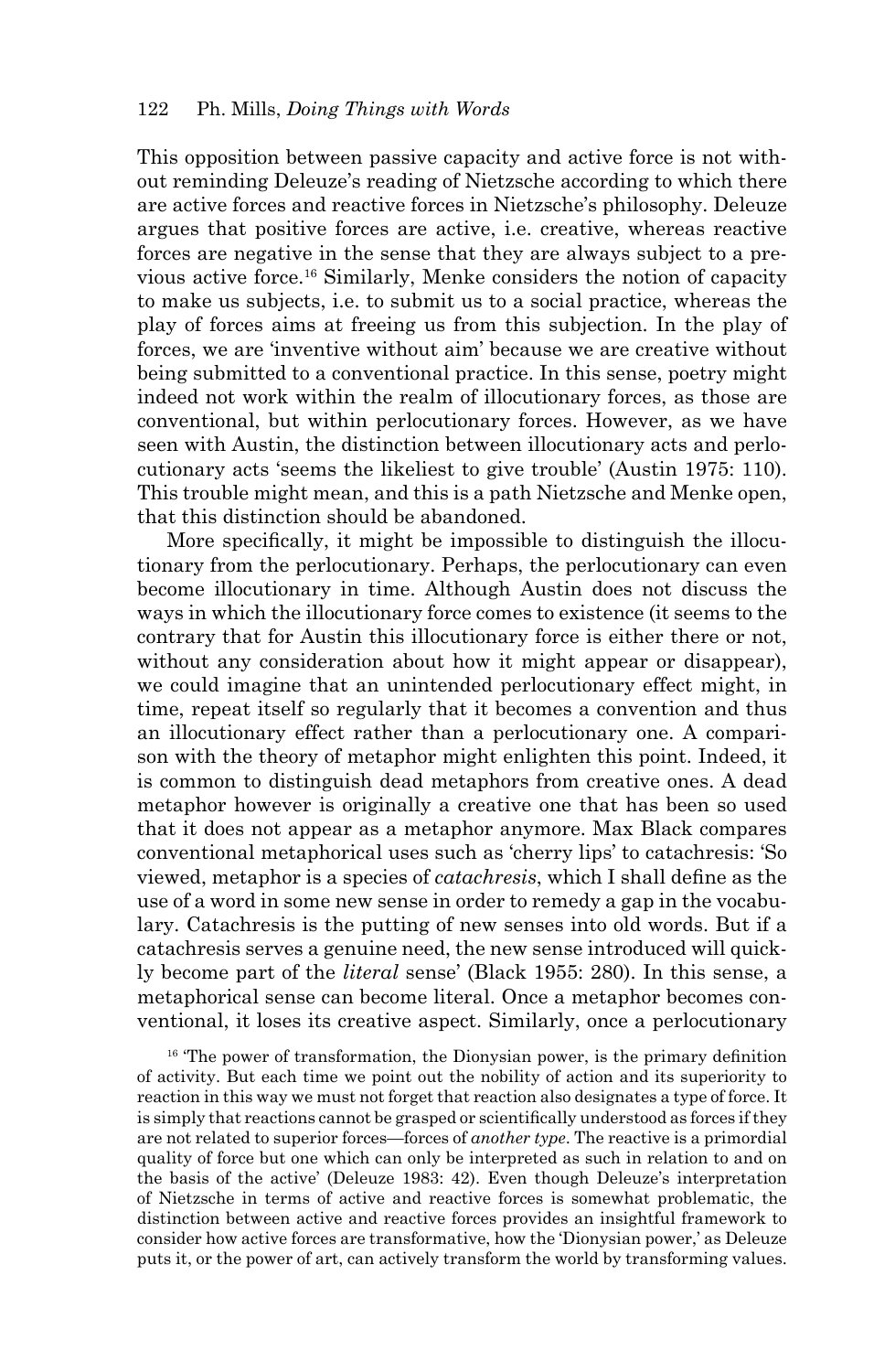This opposition between passive capacity and active force is not without reminding Deleuze's reading of Nietzsche according to which there are active forces and reactive forces in Nietzsche's philosophy. Deleuze argues that positive forces are active, i.e. creative, whereas reactive forces are negative in the sense that they are always subject to a previous active force.16 Similarly, Menke considers the notion of capacity to make us subjects, i.e. to submit us to a social practice, whereas the play of forces aims at freeing us from this subjection. In the play of forces, we are 'inventive without aim' because we are creative without being submitted to a conventional practice. In this sense, poetry might indeed not work within the realm of illocutionary forces, as those are conventional, but within perlocutionary forces. However, as we have seen with Austin, the distinction between illocutionary acts and perlocutionary acts 'seems the likeliest to give trouble' (Austin 1975: 110). This trouble might mean, and this is a path Nietzsche and Menke open, that this distinction should be abandoned.

More specifically, it might be impossible to distinguish the illocutionary from the perlocutionary. Perhaps, the perlocutionary can even become illocutionary in time. Although Austin does not discuss the ways in which the illocutionary force comes to existence (it seems to the contrary that for Austin this illocutionary force is either there or not, without any consideration about how it might appear or disappear), we could imagine that an unintended perlocutionary effect might, in time, repeat itself so regularly that it becomes a convention and thus an illocutionary effect rather than a perlocutionary one. A comparison with the theory of metaphor might enlighten this point. Indeed, it is common to distinguish dead metaphors from creative ones. A dead metaphor however is originally a creative one that has been so used that it does not appear as a metaphor anymore. Max Black compares conventional metaphorical uses such as 'cherry lips' to catachresis: 'So viewed, metaphor is a species of *catachresis*, which I shall define as the use of a word in some new sense in order to remedy a gap in the vocabulary. Catachresis is the putting of new senses into old words. But if a catachresis serves a genuine need, the new sense introduced will quickly become part of the *literal* sense' (Black 1955: 280). In this sense, a metaphorical sense can become literal. Once a metaphor becomes conventional, it loses its creative aspect. Similarly, once a perlocutionary

 $16$  The power of transformation, the Dionysian power, is the primary definition of activity. But each time we point out the nobility of action and its superiority to reaction in this way we must not forget that reaction also designates a type of force. It is simply that reactions cannot be grasped or scientifically understood as forces if they are not related to superior forces—forces of *another type*. The reactive is a primordial quality of force but one which can only be interpreted as such in relation to and on the basis of the active' (Deleuze 1983: 42). Even though Deleuze's interpretation of Nietzsche in terms of active and reactive forces is somewhat problematic, the distinction between active and reactive forces provides an insightful framework to consider how active forces are transformative, how the 'Dionysian power,' as Deleuze puts it, or the power of art, can actively transform the world by transforming values.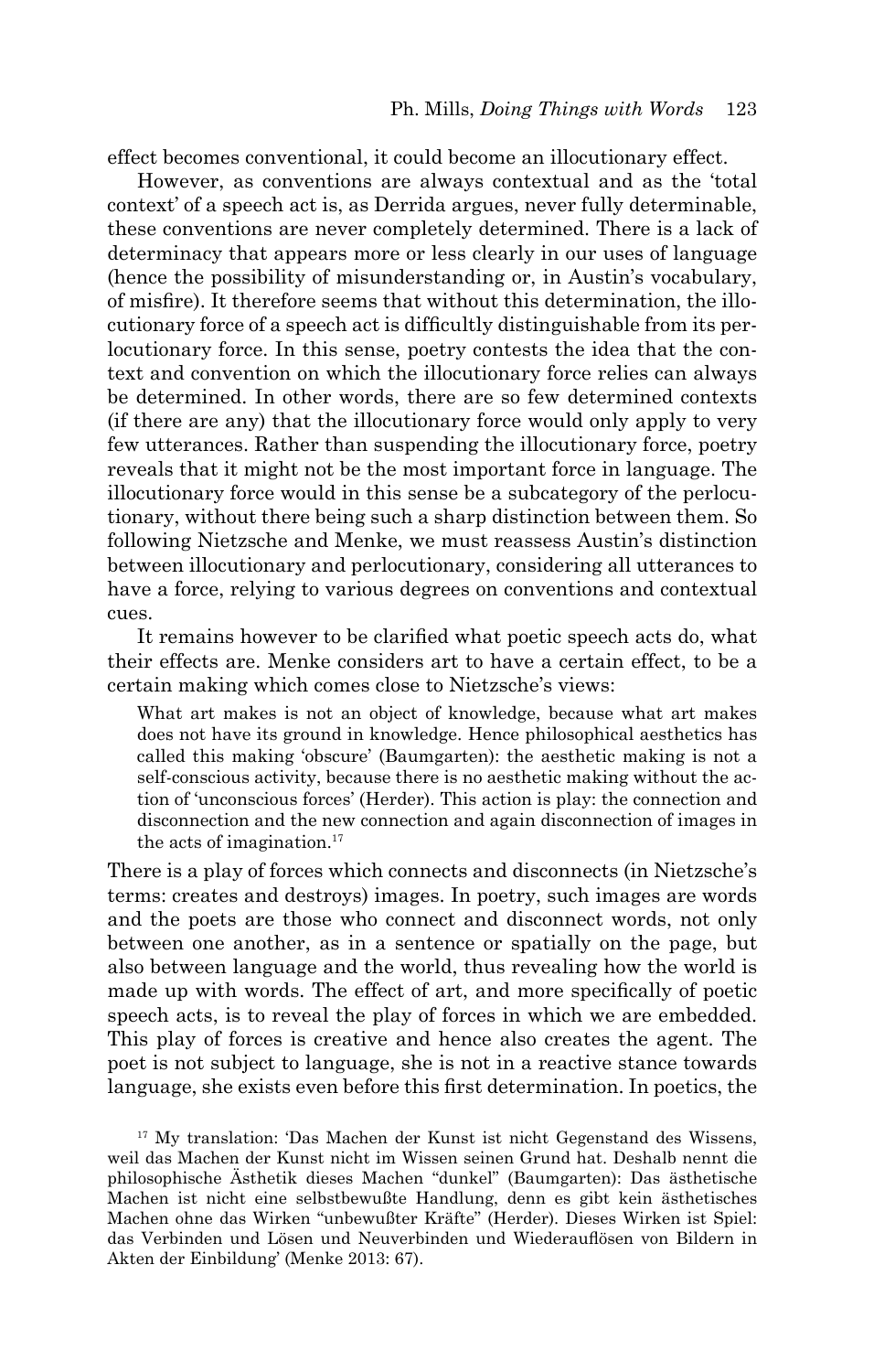effect becomes conventional, it could become an illocutionary effect.

However, as conventions are always contextual and as the 'total context' of a speech act is, as Derrida argues, never fully determinable, these conventions are never completely determined. There is a lack of determinacy that appears more or less clearly in our uses of language (hence the possibility of misunderstanding or, in Austin's vocabulary, of misfi re). It therefore seems that without this determination, the illocutionary force of a speech act is difficultly distinguishable from its perlocutionary force. In this sense, poetry contests the idea that the context and convention on which the illocutionary force relies can always be determined. In other words, there are so few determined contexts (if there are any) that the illocutionary force would only apply to very few utterances. Rather than suspending the illocutionary force, poetry reveals that it might not be the most important force in language. The illocutionary force would in this sense be a subcategory of the perlocutionary, without there being such a sharp distinction between them. So following Nietzsche and Menke, we must reassess Austin's distinction between illocutionary and perlocutionary, considering all utterances to have a force, relying to various degrees on conventions and contextual cues.

It remains however to be clarified what poetic speech acts do, what their effects are. Menke considers art to have a certain effect, to be a certain making which comes close to Nietzsche's views:

What art makes is not an object of knowledge, because what art makes does not have its ground in knowledge. Hence philosophical aesthetics has called this making 'obscure' (Baumgarten): the aesthetic making is not a self-conscious activity, because there is no aesthetic making without the action of 'unconscious forces' (Herder). This action is play: the connection and disconnection and the new connection and again disconnection of images in the acts of imagination. $17$ 

There is a play of forces which connects and disconnects (in Nietzsche's terms: creates and destroys) images. In poetry, such images are words and the poets are those who connect and disconnect words, not only between one another, as in a sentence or spatially on the page, but also between language and the world, thus revealing how the world is made up with words. The effect of art, and more specifically of poetic speech acts, is to reveal the play of forces in which we are embedded. This play of forces is creative and hence also creates the agent. The poet is not subject to language, she is not in a reactive stance towards language, she exists even before this first determination. In poetics, the

17 My translation: 'Das Machen der Kunst ist nicht Gegenstand des Wissens, weil das Machen der Kunst nicht im Wissen seinen Grund hat. Deshalb nennt die philosophische Ästhetik dieses Machen "dunkel" (Baumgarten): Das ästhetische Machen ist nicht eine selbstbewußte Handlung, denn es gibt kein ästhetisches Machen ohne das Wirken "unbewußter Kräfte" (Herder). Dieses Wirken ist Spiel: das Verbinden und Lösen und Neuverbinden und Wiederauflösen von Bildern in Akten der Einbildung' (Menke 2013: 67).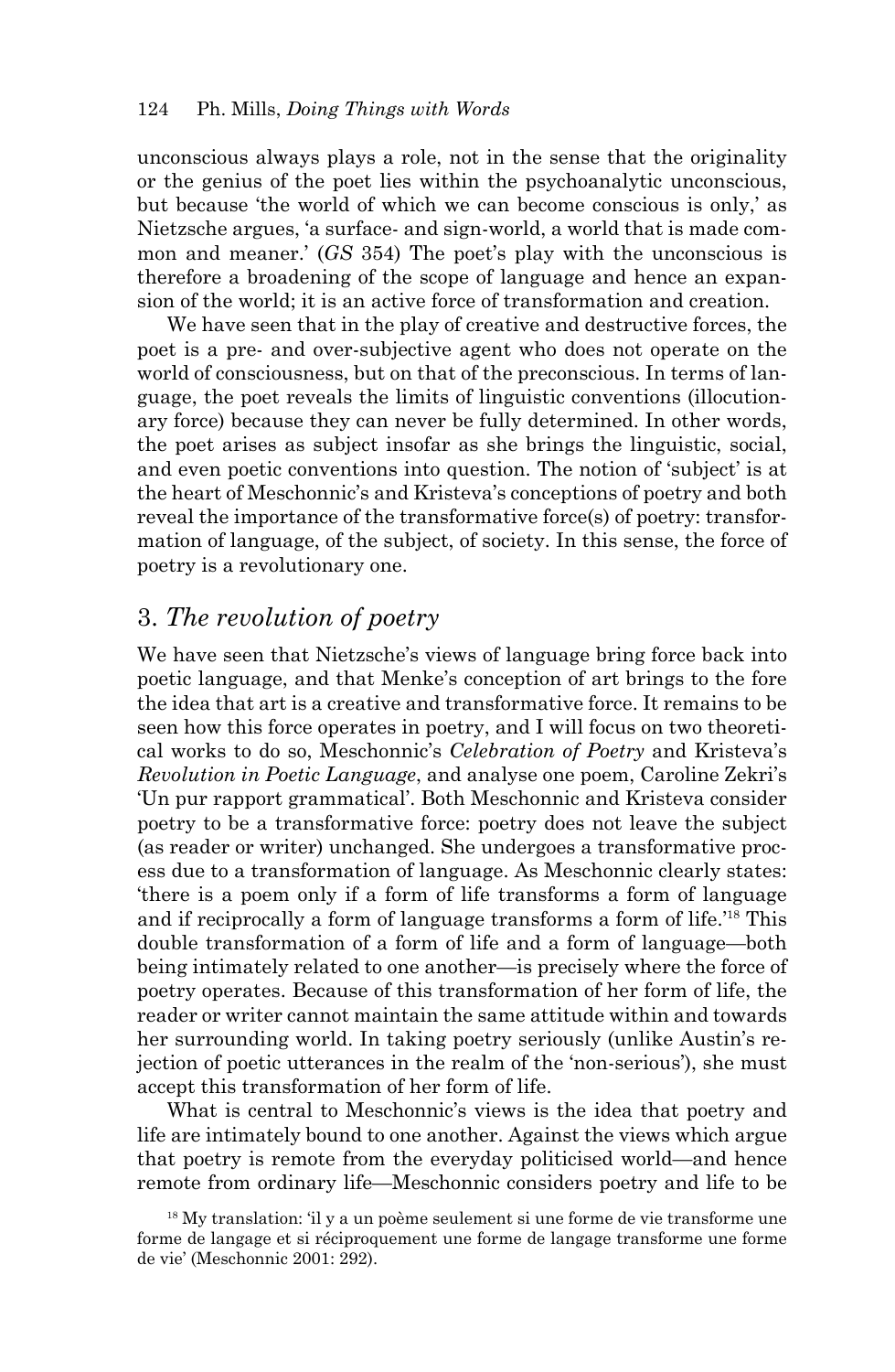unconscious always plays a role, not in the sense that the originality or the genius of the poet lies within the psychoanalytic unconscious, but because 'the world of which we can become conscious is only,' as Nietzsche argues, 'a surface- and sign-world, a world that is made common and meaner.' (*GS* 354) The poet's play with the unconscious is therefore a broadening of the scope of language and hence an expansion of the world; it is an active force of transformation and creation.

We have seen that in the play of creative and destructive forces, the poet is a pre- and over-subjective agent who does not operate on the world of consciousness, but on that of the preconscious. In terms of language, the poet reveals the limits of linguistic conventions (illocutionary force) because they can never be fully determined. In other words, the poet arises as subject insofar as she brings the linguistic, social, and even poetic conventions into question. The notion of 'subject' is at the heart of Meschonnic's and Kristeva's conceptions of poetry and both reveal the importance of the transformative force(s) of poetry: transformation of language, of the subject, of society. In this sense, the force of poetry is a revolutionary one.

# 3. *The revolution of poetry*

We have seen that Nietzsche's views of language bring force back into poetic language, and that Menke's conception of art brings to the fore the idea that art is a creative and transformative force. It remains to be seen how this force operates in poetry, and I will focus on two theoretical works to do so, Meschonnic's *Celebration of Poetry* and Kristeva's *Revolution in Poetic Language*, and analyse one poem, Caroline Zekri's 'Un pur rapport grammatical'. Both Meschonnic and Kristeva consider poetry to be a transformative force: poetry does not leave the subject (as reader or writer) unchanged. She undergoes a transformative process due to a transformation of language. As Meschonnic clearly states: 'there is a poem only if a form of life transforms a form of language and if reciprocally a form of language transforms a form of life.'18 This double transformation of a form of life and a form of language—both being intimately related to one another—is precisely where the force of poetry operates. Because of this transformation of her form of life, the reader or writer cannot maintain the same attitude within and towards her surrounding world. In taking poetry seriously (unlike Austin's rejection of poetic utterances in the realm of the 'non-serious'), she must accept this transformation of her form of life.

What is central to Meschonnic's views is the idea that poetry and life are intimately bound to one another. Against the views which argue that poetry is remote from the everyday politicised world—and hence remote from ordinary life—Meschonnic considers poetry and life to be

<sup>&</sup>lt;sup>18</sup> My translation: 'il y a un poème seulement si une forme de vie transforme une forme de langage et si réciproquement une forme de langage transforme une forme de vie' (Meschonnic 2001: 292).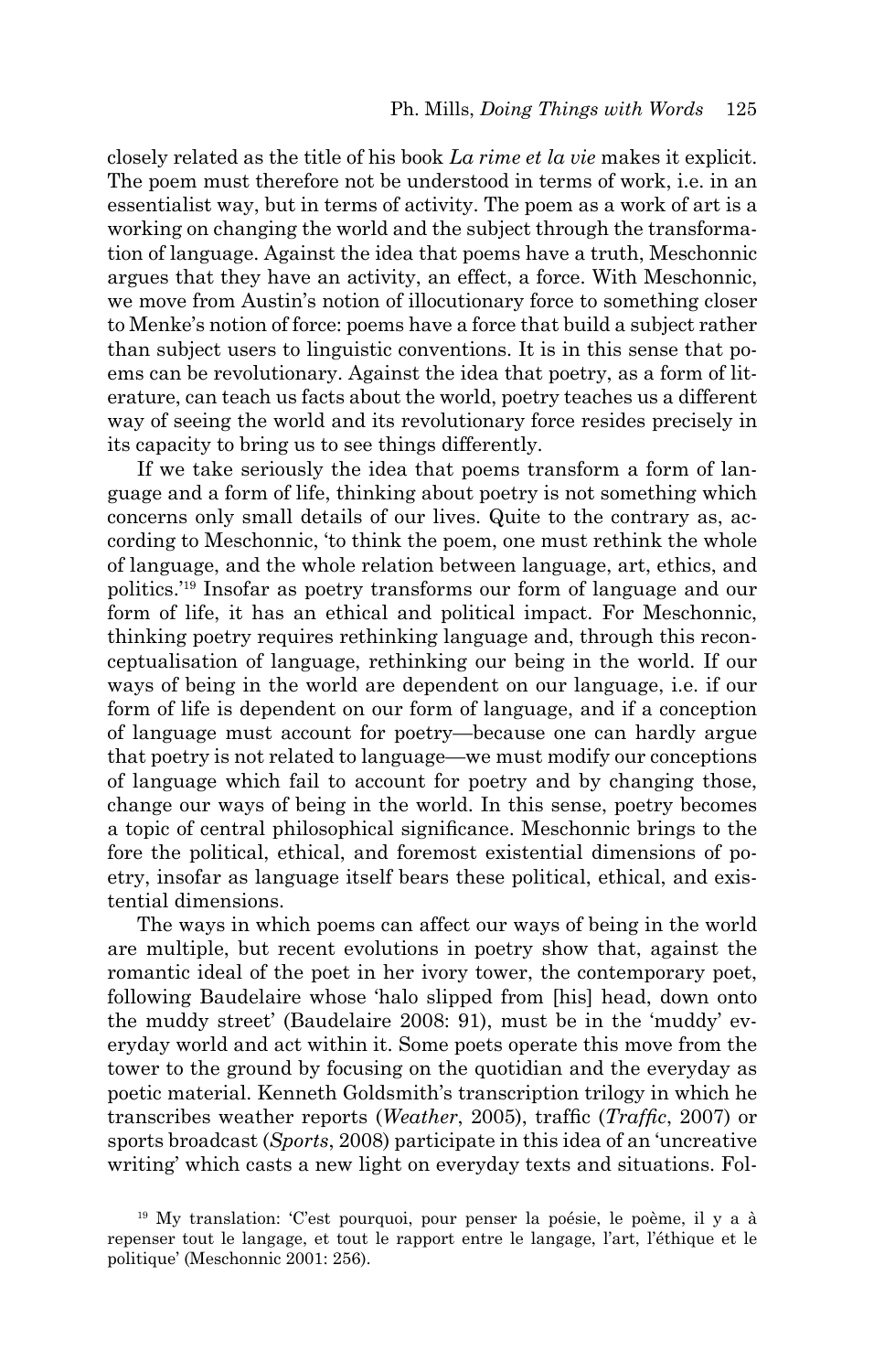closely related as the title of his book *La rime et la vie* makes it explicit. The poem must therefore not be understood in terms of work, i.e. in an essentialist way, but in terms of activity. The poem as a work of art is a working on changing the world and the subject through the transformation of language. Against the idea that poems have a truth, Meschonnic argues that they have an activity, an effect, a force. With Meschonnic, we move from Austin's notion of illocutionary force to something closer to Menke's notion of force: poems have a force that build a subject rather than subject users to linguistic conventions. It is in this sense that poems can be revolutionary. Against the idea that poetry, as a form of literature, can teach us facts about the world, poetry teaches us a different way of seeing the world and its revolutionary force resides precisely in its capacity to bring us to see things differently.

If we take seriously the idea that poems transform a form of language and a form of life, thinking about poetry is not something which concerns only small details of our lives. Quite to the contrary as, according to Meschonnic, 'to think the poem, one must rethink the whole of language, and the whole relation between language, art, ethics, and politics.'19 Insofar as poetry transforms our form of language and our form of life, it has an ethical and political impact. For Meschonnic, thinking poetry requires rethinking language and, through this reconceptualisation of language, rethinking our being in the world. If our ways of being in the world are dependent on our language, i.e. if our form of life is dependent on our form of language, and if a conception of language must account for poetry—because one can hardly argue that poetry is not related to language—we must modify our conceptions of language which fail to account for poetry and by changing those, change our ways of being in the world. In this sense, poetry becomes a topic of central philosophical significance. Meschonnic brings to the fore the political, ethical, and foremost existential dimensions of poetry, insofar as language itself bears these political, ethical, and existential dimensions.

The ways in which poems can affect our ways of being in the world are multiple, but recent evolutions in poetry show that, against the romantic ideal of the poet in her ivory tower, the contemporary poet, following Baudelaire whose 'halo slipped from [his] head, down onto the muddy street' (Baudelaire 2008: 91), must be in the 'muddy' everyday world and act within it. Some poets operate this move from the tower to the ground by focusing on the quotidian and the everyday as poetic material. Kenneth Goldsmith's transcription trilogy in which he transcribes weather reports (*Weather*, 2005), traffic (*Traffic*, 2007) or sports broadcast (*Sports*, 2008) participate in this idea of an 'uncreative writing' which casts a new light on everyday texts and situations. Fol-

<sup>19</sup> My translation: 'C'est pourquoi, pour penser la poésie, le poème, il y a à repenser tout le langage, et tout le rapport entre le langage, l'art, l'éthique et le politique' (Meschonnic 2001: 256).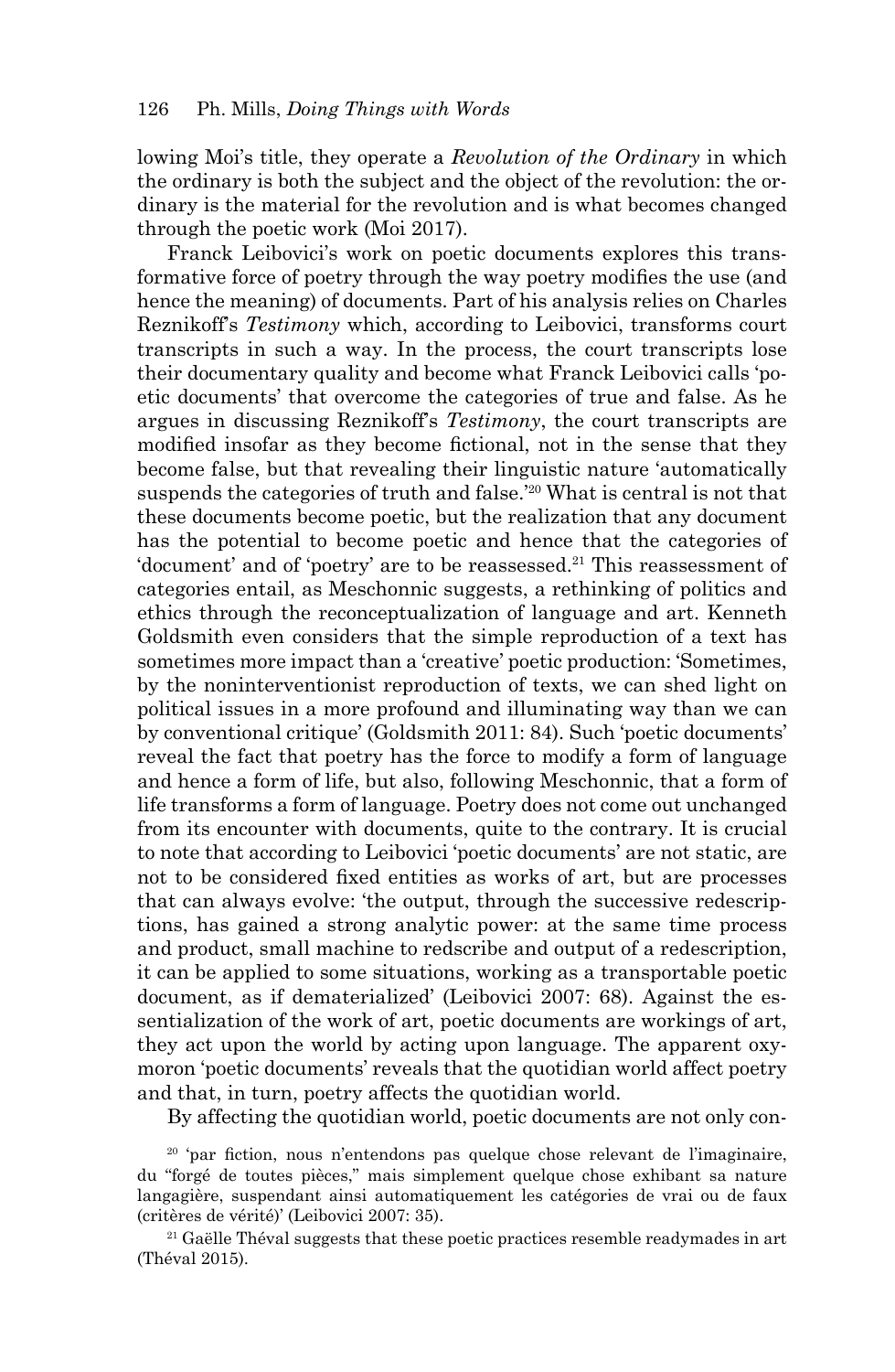lowing Moi's title, they operate a *Revolution of the Ordinary* in which the ordinary is both the subject and the object of the revolution: the ordinary is the material for the revolution and is what becomes changed through the poetic work (Moi 2017).

Franck Leibovici's work on poetic documents explores this transformative force of poetry through the way poetry modifies the use (and hence the meaning) of documents. Part of his analysis relies on Charles Reznikoff's *Testimony* which, according to Leibovici, transforms court transcripts in such a way. In the process, the court transcripts lose their documentary quality and become what Franck Leibovici calls 'poetic documents' that overcome the categories of true and false. As he argues in discussing Reznikoff's *Testimony*, the court transcripts are modified insofar as they become fictional, not in the sense that they become false, but that revealing their linguistic nature 'automatically suspends the categories of truth and false.<sup>'20</sup> What is central is not that these documents become poetic, but the realization that any document has the potential to become poetic and hence that the categories of 'document' and of 'poetry' are to be reassessed.21 This reassessment of categories entail, as Meschonnic suggests, a rethinking of politics and ethics through the reconceptualization of language and art. Kenneth Goldsmith even considers that the simple reproduction of a text has sometimes more impact than a 'creative' poetic production: 'Sometimes, by the noninterventionist reproduction of texts, we can shed light on political issues in a more profound and illuminating way than we can by conventional critique' (Goldsmith 2011: 84). Such 'poetic documents' reveal the fact that poetry has the force to modify a form of language and hence a form of life, but also, following Meschonnic, that a form of life transforms a form of language. Poetry does not come out unchanged from its encounter with documents, quite to the contrary. It is crucial to note that according to Leibovici 'poetic documents' are not static, are not to be considered fixed entities as works of art, but are processes that can always evolve: 'the output, through the successive redescriptions, has gained a strong analytic power: at the same time process and product, small machine to redscribe and output of a redescription, it can be applied to some situations, working as a transportable poetic document, as if dematerialized' (Leibovici 2007: 68). Against the essentialization of the work of art, poetic documents are workings of art, they act upon the world by acting upon language. The apparent oxymoron 'poetic documents' reveals that the quotidian world affect poetry and that, in turn, poetry affects the quotidian world.

By affecting the quotidian world, poetic documents are not only con-

<sup>20</sup> 'par fiction, nous n'entendons pas quelque chose relevant de l'imaginaire, du "forgé de toutes pièces," mais simplement quelque chose exhibant sa nature langagière, suspendant ainsi automatiquement les catégories de vrai ou de faux (critères de vérité)' (Leibovici 2007: 35).

 $21$  Gaëlle Théval suggests that these poetic practices resemble readymades in art (Théval 2015).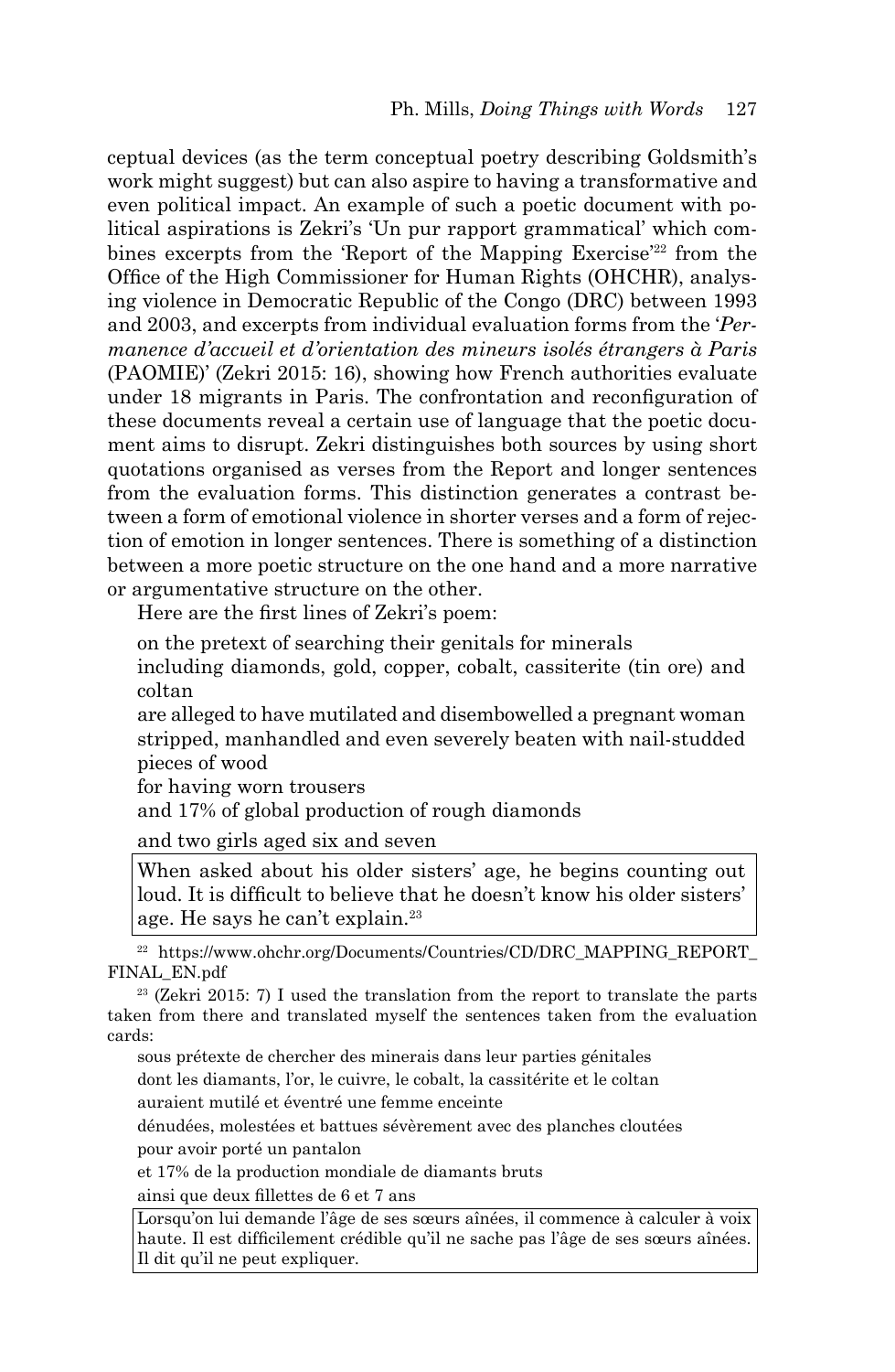ceptual devices (as the term conceptual poetry describing Goldsmith's work might suggest) but can also aspire to having a transformative and even political impact. An example of such a poetic document with political aspirations is Zekri's 'Un pur rapport grammatical' which combines excerpts from the 'Report of the Mapping Exercise'<sup>22</sup> from the Office of the High Commissioner for Human Rights (OHCHR), analysing violence in Democratic Republic of the Congo (DRC) between 1993 and 2003, and excerpts from individual evaluation forms from the '*Permanence d'accueil et d'orientation des mineurs isolés étrangers à Paris* (PAOMIE)' (Zekri 2015: 16), showing how French authorities evaluate under 18 migrants in Paris. The confrontation and reconfiguration of these documents reveal a certain use of language that the poetic document aims to disrupt. Zekri distinguishes both sources by using short quotations organised as verses from the Report and longer sentences from the evaluation forms. This distinction generates a contrast between a form of emotional violence in shorter verses and a form of rejection of emotion in longer sentences. There is something of a distinction between a more poetic structure on the one hand and a more narrative or argumentative structure on the other.

Here are the first lines of Zekri's poem:

on the pretext of searching their genitals for minerals

including diamonds, gold, copper, cobalt, cassiterite (tin ore) and coltan

are alleged to have mutilated and disembowelled a pregnant woman stripped, manhandled and even severely beaten with nail-studded pieces of wood

for having worn trousers

and 17% of global production of rough diamonds

and two girls aged six and seven

When asked about his older sisters' age, he begins counting out loud. It is difficult to believe that he doesn't know his older sisters' age. He says he can't explain.23

22 https://www.ohchr.org/Documents/Countries/CD/DRC\_MAPPING\_REPORT\_ FINAL\_EN.pdf

23 (Zekri 2015: 7) I used the translation from the report to translate the parts taken from there and translated myself the sentences taken from the evaluation cards:

sous prétexte de chercher des minerais dans leur parties génitales

dont les diamants, l'or, le cuivre, le cobalt, la cassitérite et le coltan

auraient mutilé et éventré une femme enceinte

dénudées, molestées et battues sévèrement avec des planches cloutées pour avoir porté un pantalon

et 17% de la production mondiale de diamants bruts

ainsi que deux fillettes de 6 et 7 ans

Lorsqu'on lui demande l'âge de ses sœurs aînées, il commence à calculer à voix haute. Il est difficilement crédible qu'il ne sache pas l'âge de ses sœurs aînées. Il dit qu'il ne peut expliquer.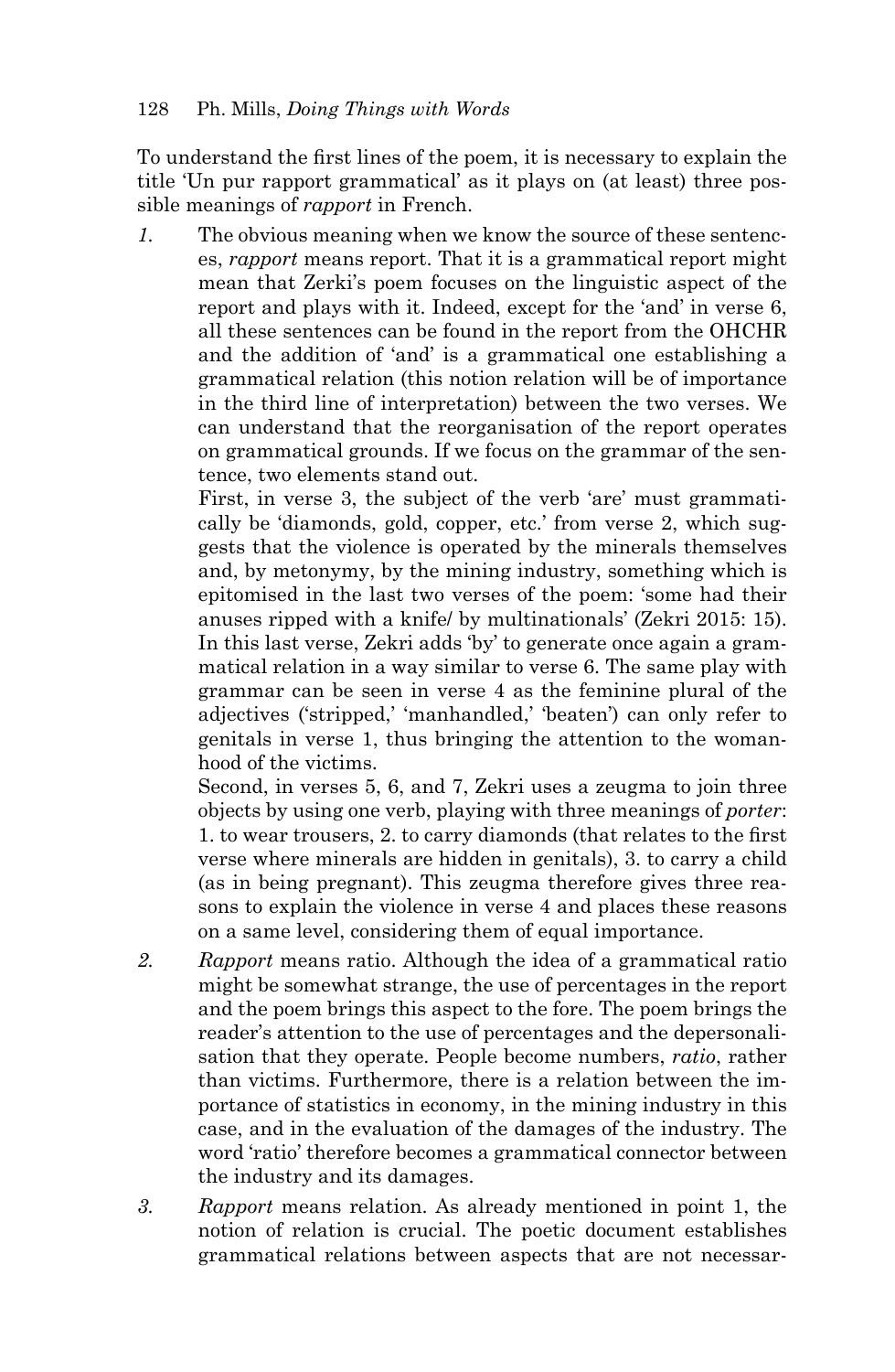To understand the first lines of the poem, it is necessary to explain the title 'Un pur rapport grammatical' as it plays on (at least) three possible meanings of *rapport* in French.

*1.* The obvious meaning when we know the source of these sentences, *rapport* means report. That it is a grammatical report might mean that Zerki's poem focuses on the linguistic aspect of the report and plays with it. Indeed, except for the 'and' in verse 6, all these sentences can be found in the report from the OHCHR and the addition of 'and' is a grammatical one establishing a grammatical relation (this notion relation will be of importance in the third line of interpretation) between the two verses. We can understand that the reorganisation of the report operates on grammatical grounds. If we focus on the grammar of the sentence, two elements stand out.

 First, in verse 3, the subject of the verb 'are' must grammatically be 'diamonds, gold, copper, etc.' from verse 2, which suggests that the violence is operated by the minerals themselves and, by metonymy, by the mining industry, something which is epitomised in the last two verses of the poem: 'some had their anuses ripped with a knife/ by multinationals' (Zekri 2015: 15). In this last verse, Zekri adds 'by' to generate once again a grammatical relation in a way similar to verse 6. The same play with grammar can be seen in verse 4 as the feminine plural of the adjectives ('stripped,' 'manhandled,' 'beaten') can only refer to genitals in verse 1, thus bringing the attention to the womanhood of the victims.

 Second, in verses 5, 6, and 7, Zekri uses a zeugma to join three objects by using one verb, playing with three meanings of *porter*: 1. to wear trousers, 2. to carry diamonds (that relates to the first verse where minerals are hidden in genitals), 3. to carry a child (as in being pregnant). This zeugma therefore gives three reasons to explain the violence in verse 4 and places these reasons on a same level, considering them of equal importance.

- *2. Rapport* means ratio. Although the idea of a grammatical ratio might be somewhat strange, the use of percentages in the report and the poem brings this aspect to the fore. The poem brings the reader's attention to the use of percentages and the depersonalisation that they operate. People become numbers, *ratio*, rather than victims. Furthermore, there is a relation between the importance of statistics in economy, in the mining industry in this case, and in the evaluation of the damages of the industry. The word 'ratio' therefore becomes a grammatical connector between the industry and its damages.
- *3. Rapport* means relation. As already mentioned in point 1, the notion of relation is crucial. The poetic document establishes grammatical relations between aspects that are not necessar-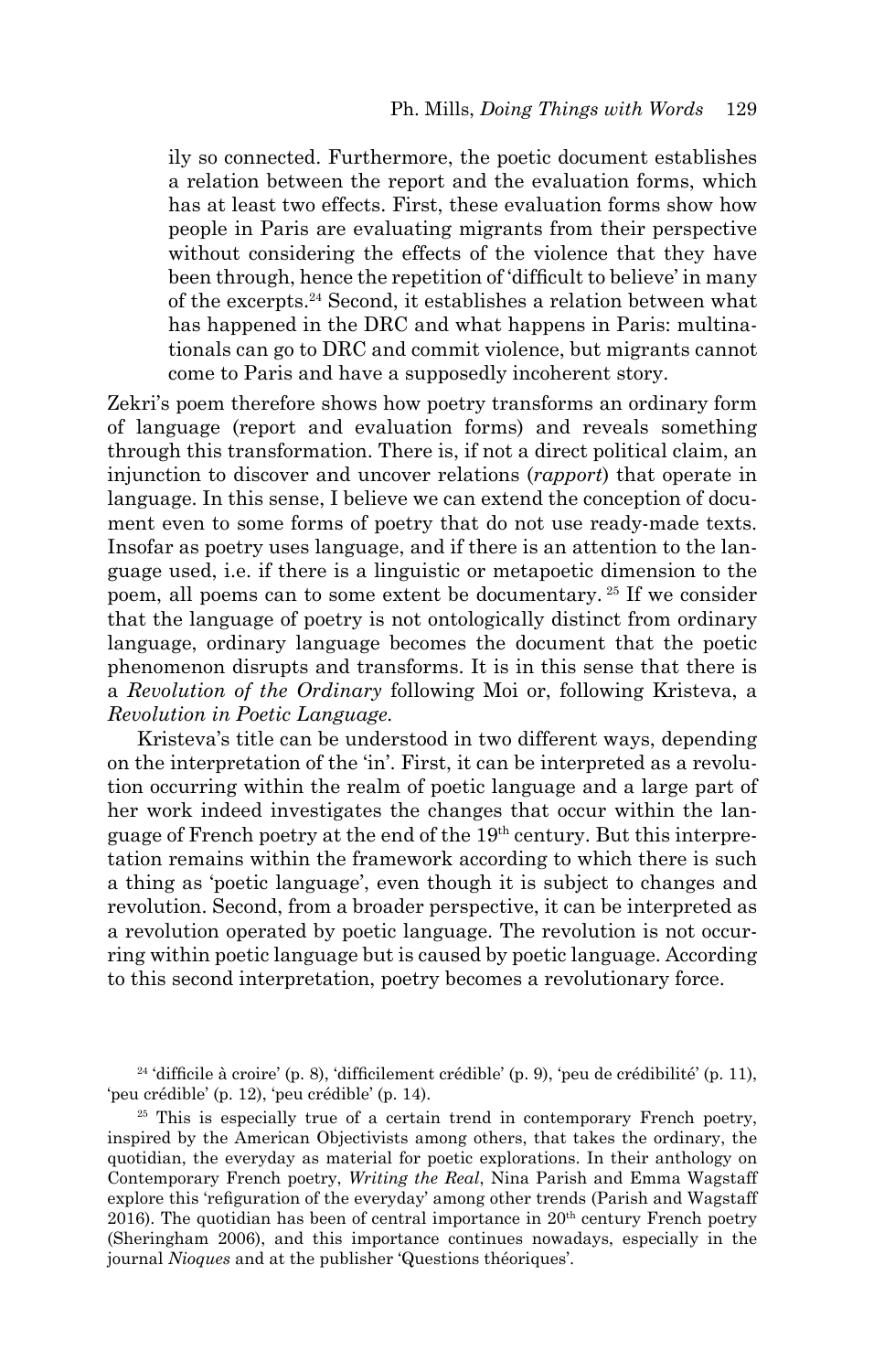ily so connected. Furthermore, the poetic document establishes a relation between the report and the evaluation forms, which has at least two effects. First, these evaluation forms show how people in Paris are evaluating migrants from their perspective without considering the effects of the violence that they have been through, hence the repetition of 'difficult to believe' in many of the excerpts.24 Second, it establishes a relation between what has happened in the DRC and what happens in Paris: multinationals can go to DRC and commit violence, but migrants cannot come to Paris and have a supposedly incoherent story.

Zekri's poem therefore shows how poetry transforms an ordinary form of language (report and evaluation forms) and reveals something through this transformation. There is, if not a direct political claim, an injunction to discover and uncover relations (*rapport*) that operate in language. In this sense, I believe we can extend the conception of document even to some forms of poetry that do not use ready-made texts. Insofar as poetry uses language, and if there is an attention to the language used, i.e. if there is a linguistic or metapoetic dimension to the poem, all poems can to some extent be documentary. 25 If we consider that the language of poetry is not ontologically distinct from ordinary language, ordinary language becomes the document that the poetic phenomenon disrupts and transforms. It is in this sense that there is a *Revolution of the Ordinary* following Moi or, following Kristeva, a *Revolution in Poetic Language.*

Kristeva's title can be understood in two different ways, depending on the interpretation of the 'in'. First, it can be interpreted as a revolution occurring within the realm of poetic language and a large part of her work indeed investigates the changes that occur within the language of French poetry at the end of the 19th century. But this interpretation remains within the framework according to which there is such a thing as 'poetic language', even though it is subject to changes and revolution. Second, from a broader perspective, it can be interpreted as a revolution operated by poetic language. The revolution is not occurring within poetic language but is caused by poetic language. According to this second interpretation, poetry becomes a revolutionary force.

 $24$ 'difficile à croire' (p. 8), 'difficilement crédible' (p. 9), 'peu de crédibilité' (p. 11), 'peu crédible' (p. 12), 'peu crédible' (p. 14).

<sup>25</sup> This is especially true of a certain trend in contemporary French poetry, inspired by the American Objectivists among others, that takes the ordinary, the quotidian, the everyday as material for poetic explorations. In their anthology on Contemporary French poetry, *Writing the Real*, Nina Parish and Emma Wagstaff explore this 'refiguration of the everyday' among other trends (Parish and Wagstaff 2016). The quotidian has been of central importance in  $20<sup>th</sup>$  century French poetry (Sheringham 2006), and this importance continues nowadays, especially in the journal *Nioques* and at the publisher 'Questions théoriques'.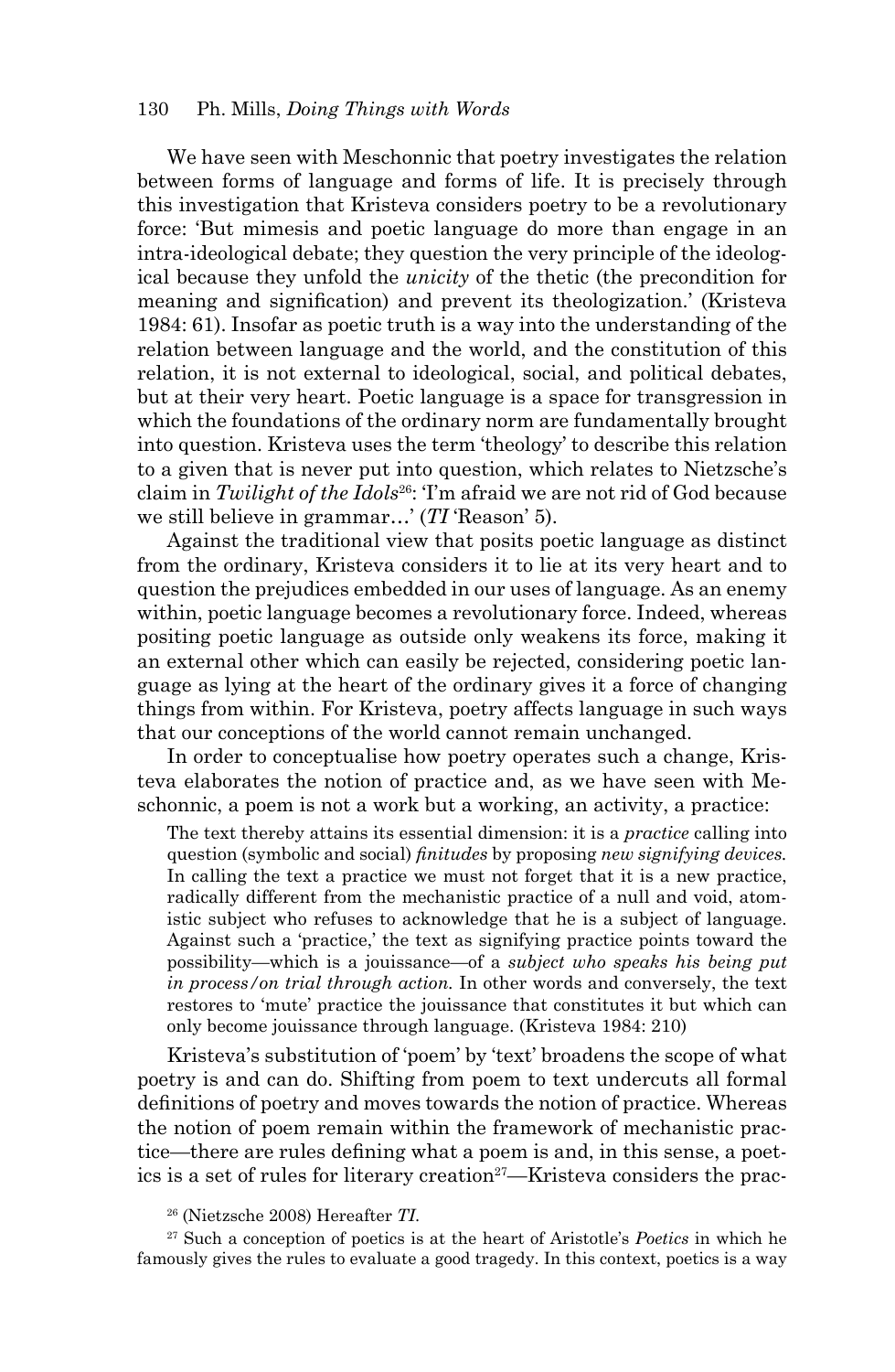#### 130 Ph. Mills, *Doing Things with Words*

We have seen with Meschonnic that poetry investigates the relation between forms of language and forms of life. It is precisely through this investigation that Kristeva considers poetry to be a revolutionary force: 'But mimesis and poetic language do more than engage in an intra-ideological debate; they question the very principle of the ideological because they unfold the *unicity* of the thetic (the precondition for meaning and signification) and prevent its theologization.' (Kristeva 1984: 61). Insofar as poetic truth is a way into the understanding of the relation between language and the world, and the constitution of this relation, it is not external to ideological, social, and political debates, but at their very heart. Poetic language is a space for transgression in which the foundations of the ordinary norm are fundamentally brought into question. Kristeva uses the term 'theology' to describe this relation to a given that is never put into question, which relates to Nietzsche's claim in *Twilight of the Idols*26: 'I'm afraid we are not rid of God because we still believe in grammar…' (*TI* 'Reason' 5).

Against the traditional view that posits poetic language as distinct from the ordinary, Kristeva considers it to lie at its very heart and to question the prejudices embedded in our uses of language. As an enemy within, poetic language becomes a revolutionary force. Indeed, whereas positing poetic language as outside only weakens its force, making it an external other which can easily be rejected, considering poetic language as lying at the heart of the ordinary gives it a force of changing things from within. For Kristeva, poetry affects language in such ways that our conceptions of the world cannot remain unchanged.

In order to conceptualise how poetry operates such a change, Kristeva elaborates the notion of practice and, as we have seen with Meschonnic, a poem is not a work but a working, an activity, a practice:

The text thereby attains its essential dimension: it is a *practice* calling into question (symbolic and social) *finitudes* by proposing *new signifying devices.* In calling the text a practice we must not forget that it is a new practice, radically different from the mechanistic practice of a null and void, atomistic subject who refuses to acknowledge that he is a subject of language. Against such a 'practice,' the text as signifying practice points toward the possibility—which is a jouissance—of a *subject who speaks his being put in process/on trial through action.* In other words and conversely, the text restores to 'mute' practice the jouissance that constitutes it but which can only become jouissance through language. (Kristeva 1984: 210)

Kristeva's substitution of 'poem' by 'text' broadens the scope of what poetry is and can do. Shifting from poem to text undercuts all formal definitions of poetry and moves towards the notion of practice. Whereas the notion of poem remain within the framework of mechanistic practice—there are rules defining what a poem is and, in this sense, a poetics is a set of rules for literary creation<sup>27</sup>—Kristeva considers the prac-

27 Such a conception of poetics is at the heart of Aristotle's *Poetics* in which he famously gives the rules to evaluate a good tragedy. In this context, poetics is a way

<sup>26 (</sup>Nietzsche 2008) Hereafter *TI*.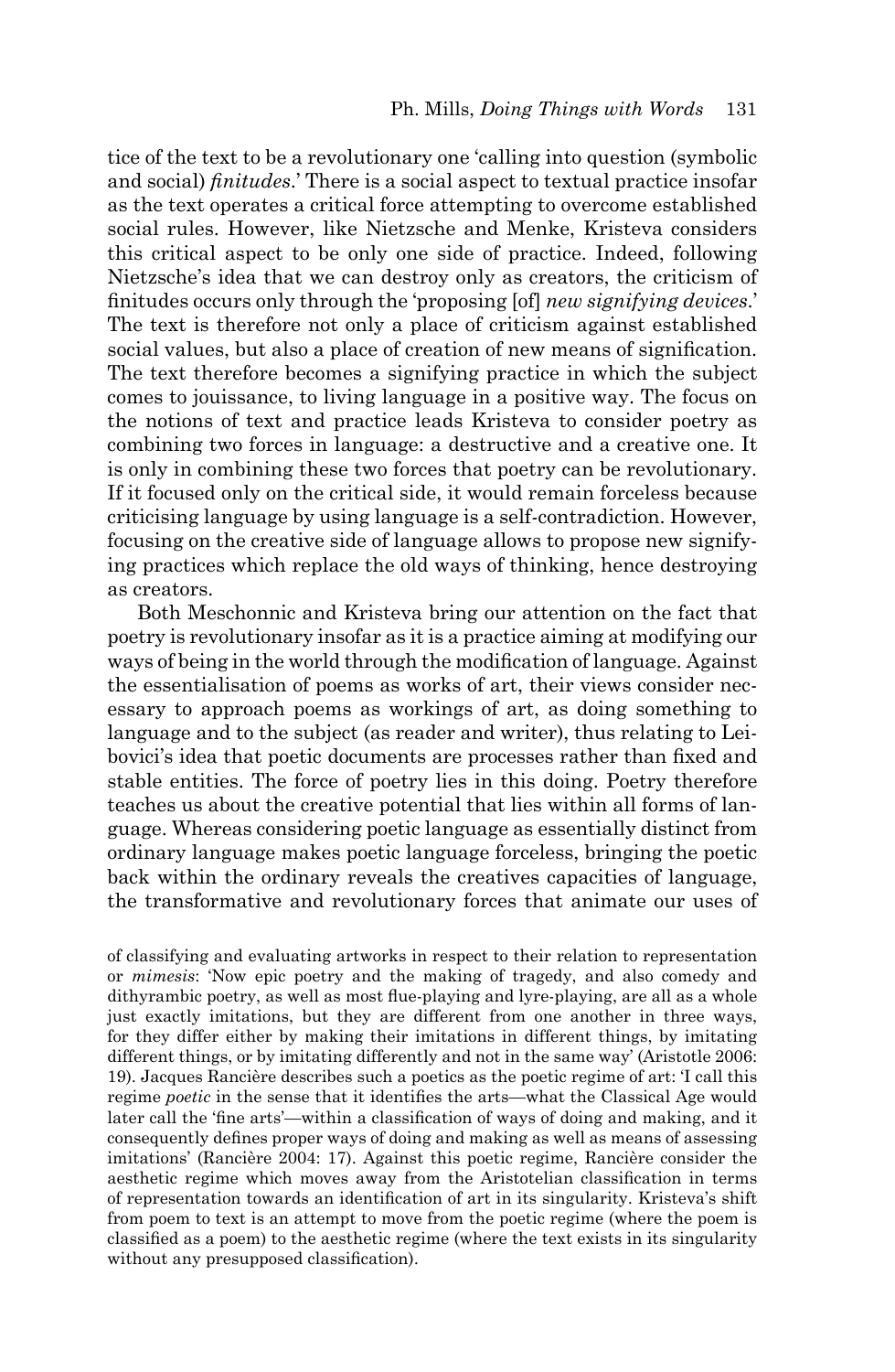tice of the text to be a revolutionary one 'calling into question (symbolic and social) *finitudes*.' There is a social aspect to textual practice insofar as the text operates a critical force attempting to overcome established social rules. However, like Nietzsche and Menke, Kristeva considers this critical aspect to be only one side of practice. Indeed, following Nietzsche's idea that we can destroy only as creators, the criticism of finitudes occurs only through the 'proposing [of] *new signifying devices*.' The text is therefore not only a place of criticism against established social values, but also a place of creation of new means of signification. The text therefore becomes a signifying practice in which the subject comes to jouissance, to living language in a positive way. The focus on the notions of text and practice leads Kristeva to consider poetry as combining two forces in language: a destructive and a creative one. It is only in combining these two forces that poetry can be revolutionary. If it focused only on the critical side, it would remain forceless because criticising language by using language is a self-contradiction. However, focusing on the creative side of language allows to propose new signifying practices which replace the old ways of thinking, hence destroying as creators.

Both Meschonnic and Kristeva bring our attention on the fact that poetry is revolutionary insofar as it is a practice aiming at modifying our ways of being in the world through the modification of language. Against the essentialisation of poems as works of art, their views consider necessary to approach poems as workings of art, as doing something to language and to the subject (as reader and writer), thus relating to Leibovici's idea that poetic documents are processes rather than fixed and stable entities. The force of poetry lies in this doing. Poetry therefore teaches us about the creative potential that lies within all forms of language. Whereas considering poetic language as essentially distinct from ordinary language makes poetic language forceless, bringing the poetic back within the ordinary reveals the creatives capacities of language, the transformative and revolutionary forces that animate our uses of

of classifying and evaluating artworks in respect to their relation to representation or *mimesis*: 'Now epic poetry and the making of tragedy, and also comedy and dithyrambic poetry, as well as most flue-playing and lyre-playing, are all as a whole just exactly imitations, but they are different from one another in three ways, for they differ either by making their imitations in different things, by imitating different things, or by imitating differently and not in the same way' (Aristotle 2006: 19). Jacques Rancière describes such a poetics as the poetic regime of art: 'I call this regime *poetic* in the sense that it identifies the arts—what the Classical Age would later call the 'fine arts'—within a classification of ways of doing and making, and it consequently defines proper ways of doing and making as well as means of assessing imitations' (Rancière 2004: 17). Against this poetic regime, Rancière consider the aesthetic regime which moves away from the Aristotelian classification in terms of representation towards an identification of art in its singularity. Kristeva's shift from poem to text is an attempt to move from the poetic regime (where the poem is classified as a poem) to the aesthetic regime (where the text exists in its singularity without any presupposed classification).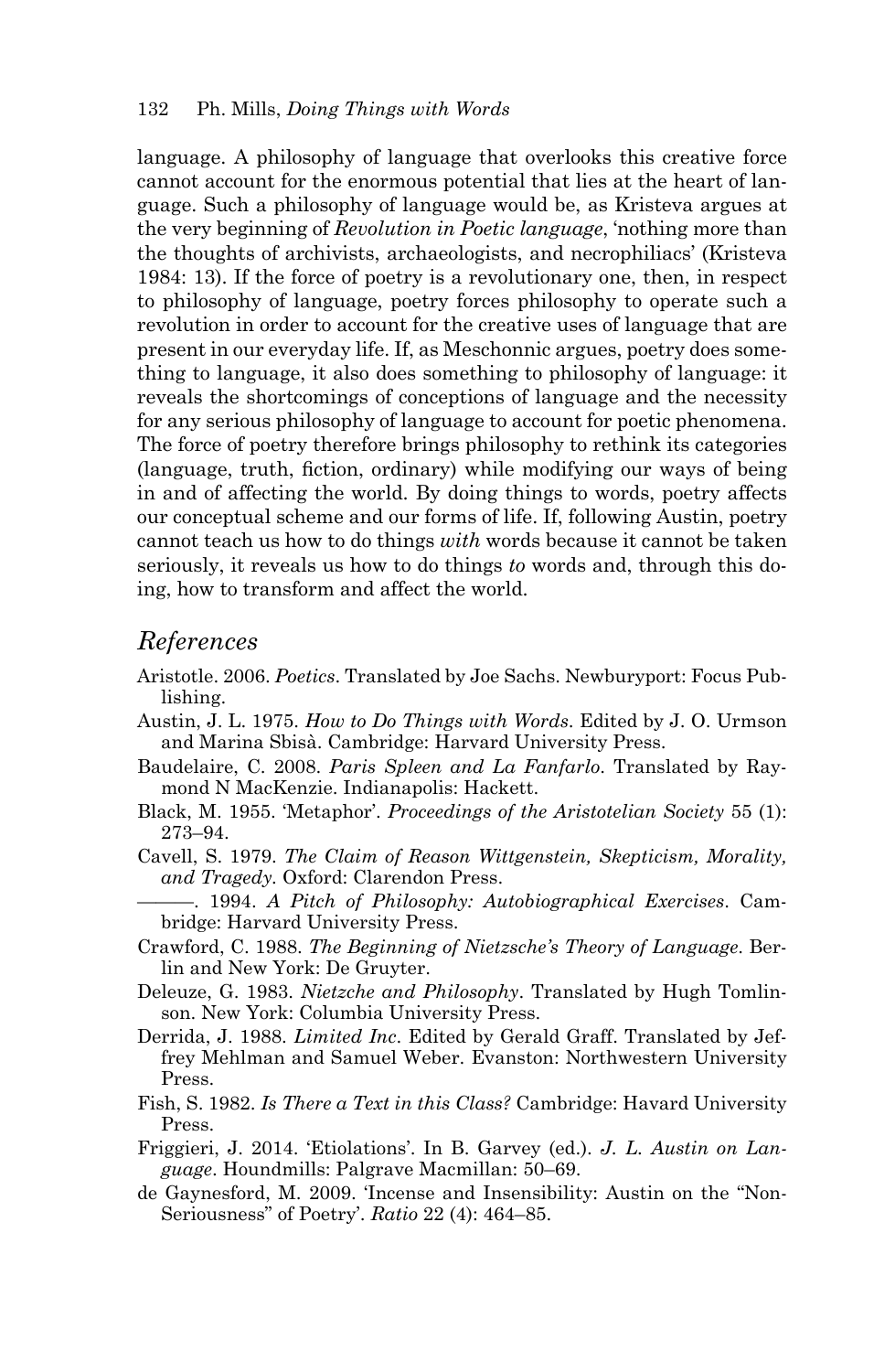language. A philosophy of language that overlooks this creative force cannot account for the enormous potential that lies at the heart of language. Such a philosophy of language would be, as Kristeva argues at the very beginning of *Revolution in Poetic language*, 'nothing more than the thoughts of archivists, archaeologists, and necrophiliacs' (Kristeva 1984: 13). If the force of poetry is a revolutionary one, then, in respect to philosophy of language, poetry forces philosophy to operate such a revolution in order to account for the creative uses of language that are present in our everyday life. If, as Meschonnic argues, poetry does something to language, it also does something to philosophy of language: it reveals the shortcomings of conceptions of language and the necessity for any serious philosophy of language to account for poetic phenomena. The force of poetry therefore brings philosophy to rethink its categories (language, truth, fiction, ordinary) while modifying our ways of being in and of affecting the world. By doing things to words, poetry affects our conceptual scheme and our forms of life. If, following Austin, poetry cannot teach us how to do things *with* words because it cannot be taken seriously, it reveals us how to do things *to* words and, through this doing, how to transform and affect the world.

#### *References*

- Aristotle. 2006. *Poetics*. Translated by Joe Sachs. Newburyport: Focus Publishing.
- Austin, J. L. 1975. *How to Do Things with Words*. Edited by J. O. Urmson and Marina Sbisà. Cambridge: Harvard University Press.
- Baudelaire, C. 2008. *Paris Spleen and La Fanfarlo*. Translated by Raymond N MacKenzie. Indianapolis: Hackett.
- Black, M. 1955. 'Metaphor'. *Proceedings of the Aristotelian Society* 55 (1): 273–94.
- Cavell, S. 1979. *The Claim of Reason Wittgenstein, Skepticism, Morality, and Tragedy.* Oxford: Clarendon Press.
- ———. 1994. *A Pitch of Philosophy: Autobiographical Exercises*. Cambridge: Harvard University Press.
- Crawford, C. 1988. *The Beginning of Nietzsche's Theory of Language*. Berlin and New York: De Gruyter.
- Deleuze, G. 1983. *Nietzche and Philosophy*. Translated by Hugh Tomlinson. New York: Columbia University Press.
- Derrida, J. 1988. *Limited Inc*. Edited by Gerald Graff. Translated by Jeffrey Mehlman and Samuel Weber. Evanston: Northwestern University Press.
- Fish, S. 1982. *Is There a Text in this Class?* Cambridge: Havard University Press.
- Friggieri, J. 2014. 'Etiolations'. In B. Garvey (ed.). *J. L. Austin on Language*. Houndmills: Palgrave Macmillan: 50–69.
- de Gaynesford, M. 2009. 'Incense and Insensibility: Austin on the "Non-Seriousness" of Poetry'. *Ratio* 22 (4): 464–85.